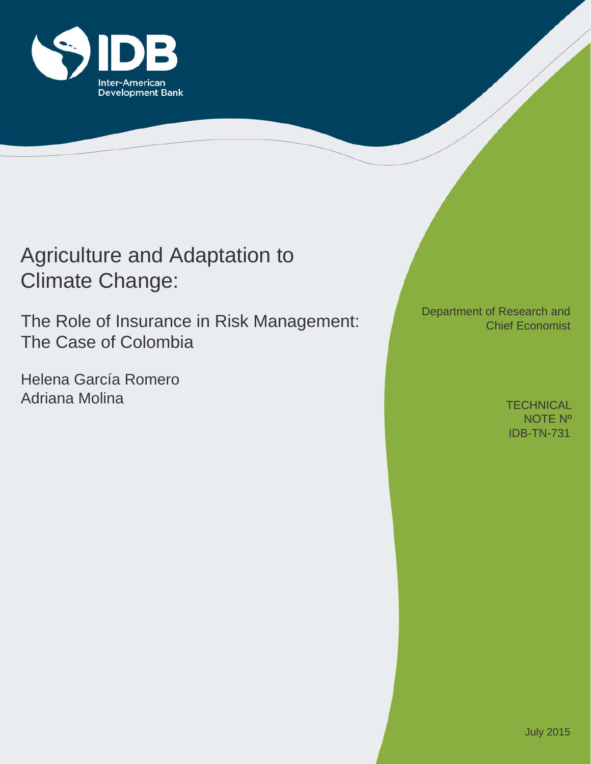

# Agriculture and Adaptation to Climate Change:

The Role of Insurance in Risk Management: The Case of Colombia

Helena García Romero Adriana Molina

Department of Research and Chief Economist

> IDB-TN-731 **TECHNICAL** NOTE Nº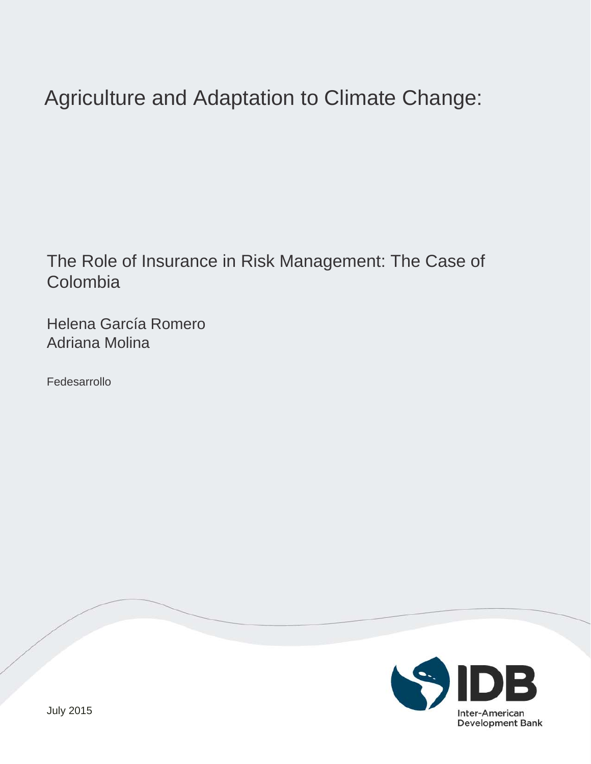# Agriculture and Adaptation to Climate Change:

The Role of Insurance in Risk Management: The Case of Colombia

Helena García Romero Adriana Molina

Fedesarrollo

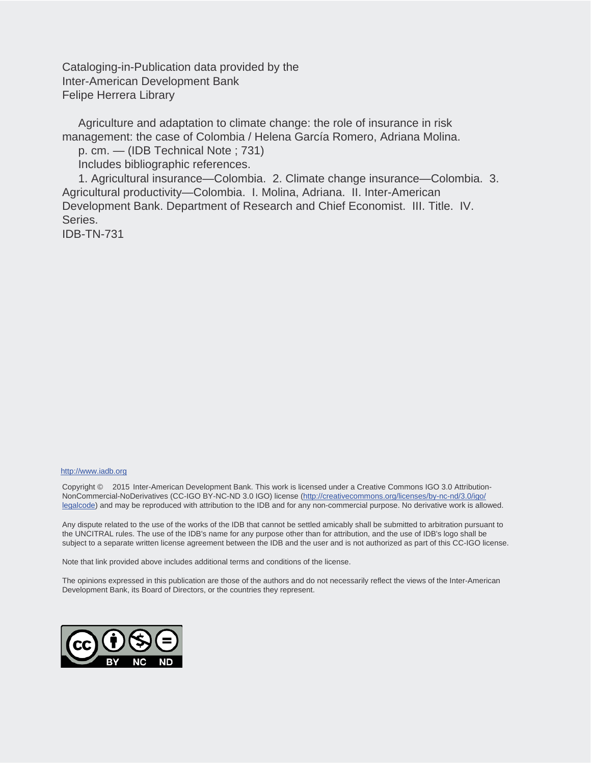Cataloging-in-Publication data provided by the Inter-American Development Bank Felipe Herrera Library

 Agriculture and adaptation to climate change: the role of insurance in risk management: the case of Colombia / Helena García Romero, Adriana Molina.

p. cm. — (IDB Technical Note ; 731)

Includes bibliographic references.

 1. Agricultural insurance—Colombia. 2. Climate change insurance—Colombia. 3. Agricultural productivity—Colombia. I. Molina, Adriana. II. Inter-American Development Bank. Department of Research and Chief Economist. III. Title. IV. Series. IDB-TN-731

#### http://www.iadb.org

Copyright © 2015 Inter-American Development Bank. This work is licensed under a Creative Commons IGO 3.0 Attribution-NonCommercial-NoDerivatives (CC-IGO BY-NC-ND 3.0 IGO) license (http://creativecommons.org/licenses/by-nc-nd/3.0/igo/ legalcode) and may be reproduced with attribution to the IDB and for any non-commercial purpose. No derivative work is allowed.

Any dispute related to the use of the works of the IDB that cannot be settled amicably shall be submitted to arbitration pursuant to the UNCITRAL rules. The use of the IDB's name for any purpose other than for attribution, and the use of IDB's logo shall be subject to a separate written license agreement between the IDB and the user and is not authorized as part of this CC-IGO license.

Note that link provided above includes additional terms and conditions of the license.

The opinions expressed in this publication are those of the authors and do not necessarily reflect the views of the Inter-American Development Bank, its Board of Directors, or the countries they represent.

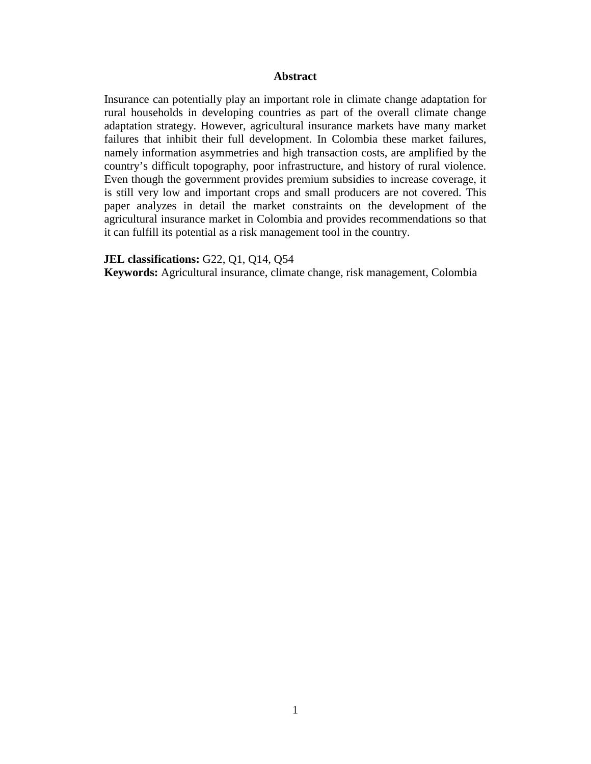## **Abstract**

Insurance can potentially play an important role in climate change adaptation for rural households in developing countries as part of the overall climate change adaptation strategy. However, agricultural insurance markets have many market failures that inhibit their full development. In Colombia these market failures, namely information asymmetries and high transaction costs, are amplified by the country's difficult topography, poor infrastructure, and history of rural violence. Even though the government provides premium subsidies to increase coverage, it is still very low and important crops and small producers are not covered. This paper analyzes in detail the market constraints on the development of the agricultural insurance market in Colombia and provides recommendations so that it can fulfill its potential as a risk management tool in the country.

#### **JEL classifications:** G22, Q1, Q14, Q54

**Keywords:** Agricultural insurance, climate change, risk management, Colombia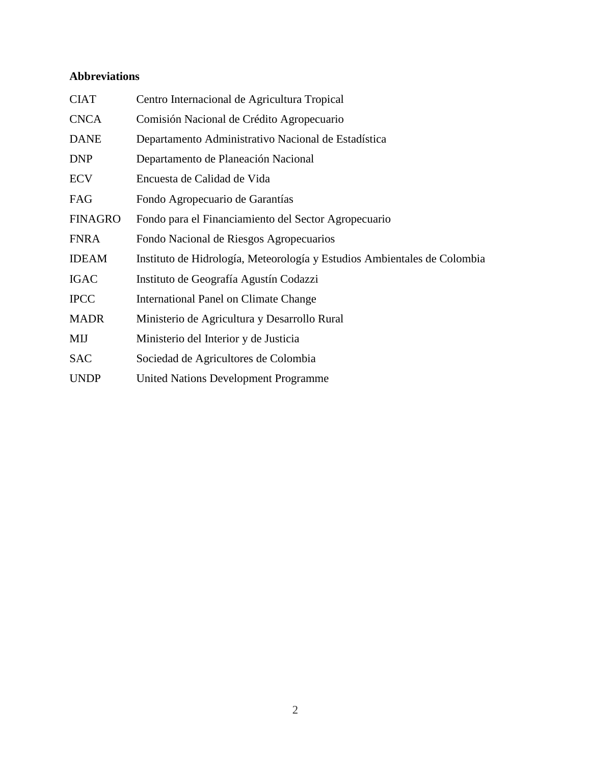# **Abbreviations**

| <b>CIAT</b>    | Centro Internacional de Agricultura Tropical                             |
|----------------|--------------------------------------------------------------------------|
| <b>CNCA</b>    | Comisión Nacional de Crédito Agropecuario                                |
| <b>DANE</b>    | Departamento Administrativo Nacional de Estadística                      |
| <b>DNP</b>     | Departamento de Planeación Nacional                                      |
| <b>ECV</b>     | Encuesta de Calidad de Vida                                              |
| FAG            | Fondo Agropecuario de Garantías                                          |
| <b>FINAGRO</b> | Fondo para el Financiamiento del Sector Agropecuario                     |
| <b>FNRA</b>    | Fondo Nacional de Riesgos Agropecuarios                                  |
| <b>IDEAM</b>   | Instituto de Hidrología, Meteorología y Estudios Ambientales de Colombia |
| <b>IGAC</b>    | Instituto de Geografía Agustín Codazzi                                   |
| <b>IPCC</b>    | International Panel on Climate Change                                    |
| <b>MADR</b>    | Ministerio de Agricultura y Desarrollo Rural                             |
| MIJ            | Ministerio del Interior y de Justicia                                    |
| <b>SAC</b>     | Sociedad de Agricultores de Colombia                                     |
| <b>UNDP</b>    | <b>United Nations Development Programme</b>                              |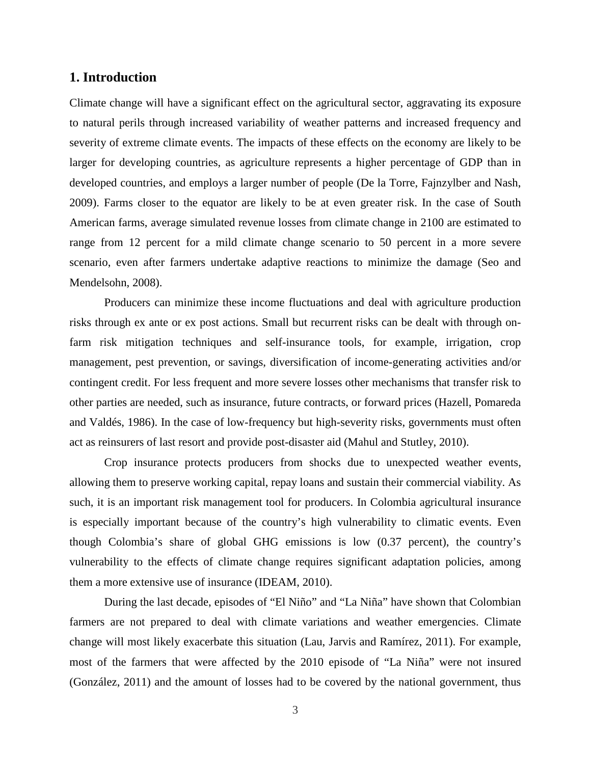# **1. Introduction**

Climate change will have a significant effect on the agricultural sector, aggravating its exposure to natural perils through increased variability of weather patterns and increased frequency and severity of extreme climate events. The impacts of these effects on the economy are likely to be larger for developing countries, as agriculture represents a higher percentage of GDP than in developed countries, and employs a larger number of people (De la Torre, Fajnzylber and Nash, 2009). Farms closer to the equator are likely to be at even greater risk. In the case of South American farms, average simulated revenue losses from climate change in 2100 are estimated to range from 12 percent for a mild climate change scenario to 50 percent in a more severe scenario, even after farmers undertake adaptive reactions to minimize the damage (Seo and Mendelsohn, 2008).

Producers can minimize these income fluctuations and deal with agriculture production risks through ex ante or ex post actions. Small but recurrent risks can be dealt with through onfarm risk mitigation techniques and self-insurance tools, for example, irrigation, crop management, pest prevention, or savings, diversification of income-generating activities and/or contingent credit. For less frequent and more severe losses other mechanisms that transfer risk to other parties are needed, such as insurance, future contracts, or forward prices (Hazell, Pomareda and Valdés, 1986). In the case of low-frequency but high-severity risks, governments must often act as reinsurers of last resort and provide post-disaster aid (Mahul and Stutley, 2010).

Crop insurance protects producers from shocks due to unexpected weather events, allowing them to preserve working capital, repay loans and sustain their commercial viability. As such, it is an important risk management tool for producers. In Colombia agricultural insurance is especially important because of the country's high vulnerability to climatic events. Even though Colombia's share of global GHG emissions is low (0.37 percent), the country's vulnerability to the effects of climate change requires significant adaptation policies, among them a more extensive use of insurance (IDEAM, 2010).

During the last decade, episodes of "El Niño" and "La Niña" have shown that Colombian farmers are not prepared to deal with climate variations and weather emergencies. Climate change will most likely exacerbate this situation (Lau, Jarvis and Ramírez, 2011). For example, most of the farmers that were affected by the 2010 episode of "La Niña" were not insured (González, 2011) and the amount of losses had to be covered by the national government, thus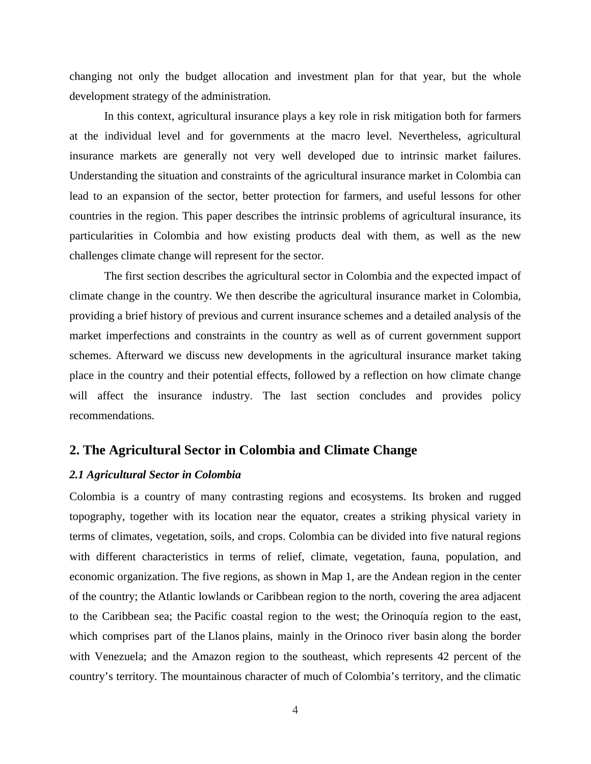changing not only the budget allocation and investment plan for that year, but the whole development strategy of the administration.

In this context, agricultural insurance plays a key role in risk mitigation both for farmers at the individual level and for governments at the macro level. Nevertheless, agricultural insurance markets are generally not very well developed due to intrinsic market failures. Understanding the situation and constraints of the agricultural insurance market in Colombia can lead to an expansion of the sector, better protection for farmers, and useful lessons for other countries in the region. This paper describes the intrinsic problems of agricultural insurance, its particularities in Colombia and how existing products deal with them, as well as the new challenges climate change will represent for the sector.

The first section describes the agricultural sector in Colombia and the expected impact of climate change in the country. We then describe the agricultural insurance market in Colombia, providing a brief history of previous and current insurance schemes and a detailed analysis of the market imperfections and constraints in the country as well as of current government support schemes. Afterward we discuss new developments in the agricultural insurance market taking place in the country and their potential effects, followed by a reflection on how climate change will affect the insurance industry. The last section concludes and provides policy recommendations.

# **2. The Agricultural Sector in Colombia and Climate Change**

## *2.1 Agricultural Sector in Colombia*

Colombia is a country of many contrasting regions and ecosystems. Its broken and rugged topography, together with its location near the equator, creates a striking physical variety in terms of climates, vegetation, soils, and crops. Colombia can be divided into five natural regions with different characteristics in terms of relief, climate, vegetation, fauna, population, and economic organization. The five regions, as shown in Map 1, are the Andean region in the center of the country; the Atlantic lowlands or Caribbean region to the north, covering the area adjacent to the Caribbean sea; the Pacific coastal region to the west; the Orinoquía region to the east, which comprises part of the Llanos plains, mainly in the Orinoco river basin along the border with Venezuela; and the Amazon region to the southeast, which represents 42 percent of the country's territory. The mountainous character of much of Colombia's territory, and the climatic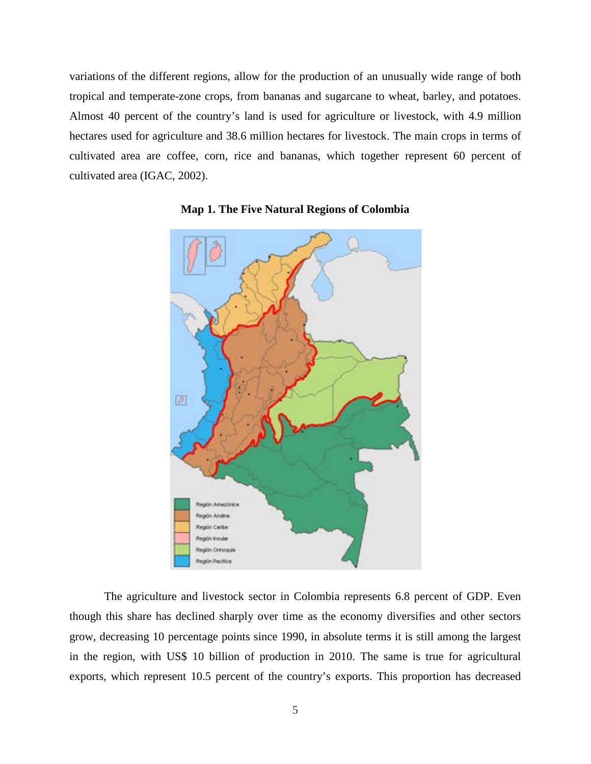variations of the different regions, allow for the production of an unusually wide range of both tropical and temperate-zone crops, from bananas and sugarcane to wheat, barley, and potatoes. Almost 40 percent of the country's land is used for agriculture or livestock, with 4.9 million hectares used for agriculture and 38.6 million hectares for livestock. The main crops in terms of cultivated area are coffee, corn, rice and bananas, which together represent 60 percent of cultivated area (IGAC, 2002).





The agriculture and livestock sector in Colombia represents 6.8 percent of GDP. Even though this share has declined sharply over time as the economy diversifies and other sectors grow, decreasing 10 percentage points since 1990, in absolute terms it is still among the largest in the region, with US\$ 10 billion of production in 2010. The same is true for agricultural exports, which represent 10.5 percent of the country's exports. This proportion has decreased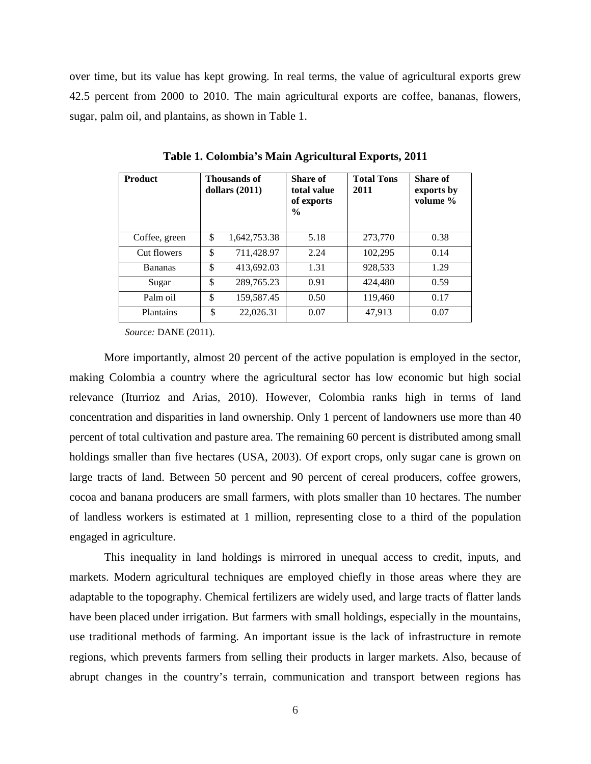over time, but its value has kept growing. In real terms, the value of agricultural exports grew 42.5 percent from 2000 to 2010. The main agricultural exports are coffee, bananas, flowers, sugar, palm oil, and plantains, as shown in Table 1.

| <b>Product</b> | Thousands of<br>dollars $(2011)$ | Share of<br>total value<br>of exports<br>$\%$ | <b>Total Tons</b><br>2011 | <b>Share of</b><br>exports by<br>volume % |
|----------------|----------------------------------|-----------------------------------------------|---------------------------|-------------------------------------------|
| Coffee, green  | \$<br>1,642,753.38               | 5.18                                          | 273,770                   | 0.38                                      |
| Cut flowers    | \$<br>711,428.97                 | 2.24                                          | 102,295                   | 0.14                                      |
| <b>Bananas</b> | \$<br>413,692.03                 | 1.31                                          | 928,533                   | 1.29                                      |
| Sugar          | \$<br>289,765.23                 | 0.91                                          | 424,480                   | 0.59                                      |
| Palm oil       | \$<br>159,587.45                 | 0.50                                          | 119,460                   | 0.17                                      |
| Plantains      | \$<br>22,026.31                  | 0.07                                          | 47,913                    | 0.07                                      |

**Table 1. Colombia's Main Agricultural Exports, 2011**

*Source:* DANE (2011).

More importantly, almost 20 percent of the active population is employed in the sector, making Colombia a country where the agricultural sector has low economic but high social relevance (Iturrioz and Arias, 2010). However, Colombia ranks high in terms of land concentration and disparities in land ownership. Only 1 percent of landowners use more than 40 percent of total cultivation and pasture area. The remaining 60 percent is distributed among small holdings smaller than five hectares (USA, 2003). Of export crops, only sugar cane is grown on large tracts of land. Between 50 percent and 90 percent of cereal producers, coffee growers, cocoa and banana producers are small farmers, with plots smaller than 10 hectares. The number of landless workers is estimated at 1 million, representing close to a third of the population engaged in agriculture.

This inequality in land holdings is mirrored in unequal access to credit, inputs, and markets. Modern agricultural techniques are employed chiefly in those areas where they are adaptable to the topography. Chemical fertilizers are widely used, and large tracts of flatter lands have been placed under irrigation. But farmers with small holdings, especially in the mountains, use traditional methods of farming. An important issue is the lack of infrastructure in remote regions, which prevents farmers from selling their products in larger markets. Also, because of abrupt changes in the country's terrain, communication and transport between regions has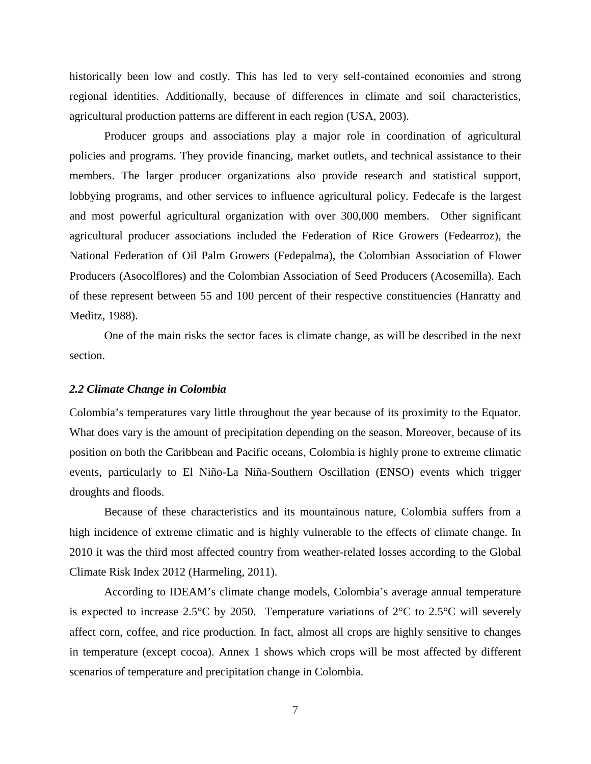historically been low and costly. This has led to very self-contained economies and strong regional identities. Additionally, because of differences in climate and soil characteristics, agricultural production patterns are different in each region (USA, 2003).

Producer groups and associations play a major role in coordination of agricultural policies and programs. They provide financing, market outlets, and technical assistance to their members. The larger producer organizations also provide research and statistical support, lobbying programs, and other services to influence agricultural policy. Fedecafe is the largest and most powerful agricultural organization with over 300,000 members. Other significant agricultural producer associations included the Federation of Rice Growers (Fedearroz), the National Federation of Oil Palm Growers (Fedepalma), the Colombian Association of Flower Producers (Asocolflores) and the Colombian Association of Seed Producers (Acosemilla). Each of these represent between 55 and 100 percent of their respective constituencies (Hanratty and Meditz, 1988).

One of the main risks the sector faces is climate change, as will be described in the next section.

## *2.2 Climate Change in Colombia*

Colombia's temperatures vary little throughout the year because of its proximity to the Equator. What does vary is the amount of precipitation depending on the season. Moreover, because of its position on both the Caribbean and Pacific oceans, Colombia is highly prone to extreme climatic events, particularly to El Niño-La Niña-Southern Oscillation (ENSO) events which trigger droughts and floods.

Because of these characteristics and its mountainous nature, Colombia suffers from a high incidence of extreme climatic and is highly vulnerable to the effects of climate change. In 2010 it was the third most affected country from weather-related losses according to the Global Climate Risk Index 2012 (Harmeling, 2011).

According to IDEAM's climate change models, Colombia's average annual temperature is expected to increase 2.5 $\degree$ C by 2050. Temperature variations of 2 $\degree$ C to 2.5 $\degree$ C will severely affect corn, coffee, and rice production. In fact, almost all crops are highly sensitive to changes in temperature (except cocoa). Annex 1 shows which crops will be most affected by different scenarios of temperature and precipitation change in Colombia.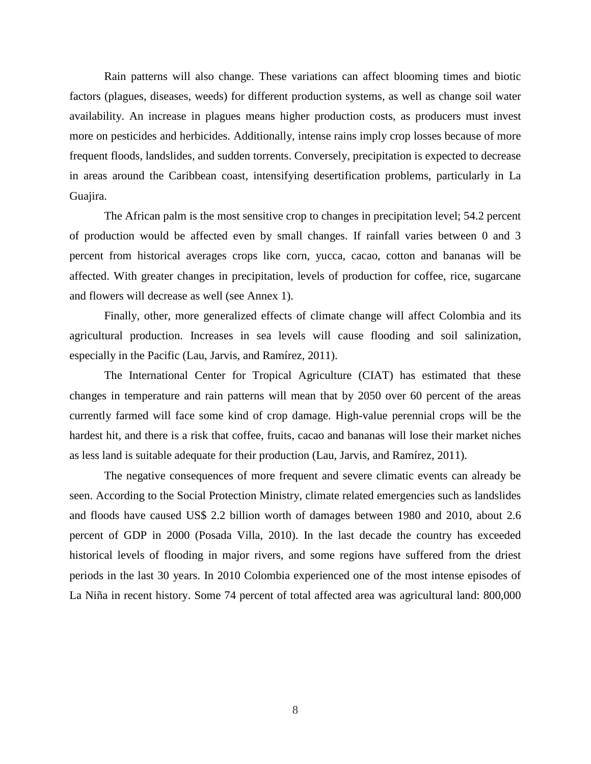Rain patterns will also change. These variations can affect blooming times and biotic factors (plagues, diseases, weeds) for different production systems, as well as change soil water availability. An increase in plagues means higher production costs, as producers must invest more on pesticides and herbicides. Additionally, intense rains imply crop losses because of more frequent floods, landslides, and sudden torrents. Conversely, precipitation is expected to decrease in areas around the Caribbean coast, intensifying desertification problems, particularly in La Guajira.

The African palm is the most sensitive crop to changes in precipitation level; 54.2 percent of production would be affected even by small changes. If rainfall varies between 0 and 3 percent from historical averages crops like corn, yucca, cacao, cotton and bananas will be affected. With greater changes in precipitation, levels of production for coffee, rice, sugarcane and flowers will decrease as well (see Annex 1).

Finally, other, more generalized effects of climate change will affect Colombia and its agricultural production. Increases in sea levels will cause flooding and soil salinization, especially in the Pacific (Lau, Jarvis, and Ramírez, 2011).

The International Center for Tropical Agriculture (CIAT) has estimated that these changes in temperature and rain patterns will mean that by 2050 over 60 percent of the areas currently farmed will face some kind of crop damage. High-value perennial crops will be the hardest hit, and there is a risk that coffee, fruits, cacao and bananas will lose their market niches as less land is suitable adequate for their production (Lau, Jarvis, and Ramírez, 2011).

The negative consequences of more frequent and severe climatic events can already be seen. According to the Social Protection Ministry, climate related emergencies such as landslides and floods have caused US\$ 2.2 billion worth of damages between 1980 and 2010, about 2.6 percent of GDP in 2000 (Posada Villa, 2010). In the last decade the country has exceeded historical levels of flooding in major rivers, and some regions have suffered from the driest periods in the last 30 years. In 2010 Colombia experienced one of the most intense episodes of La Niña in recent history. Some 74 percent of total affected area was agricultural land: 800,000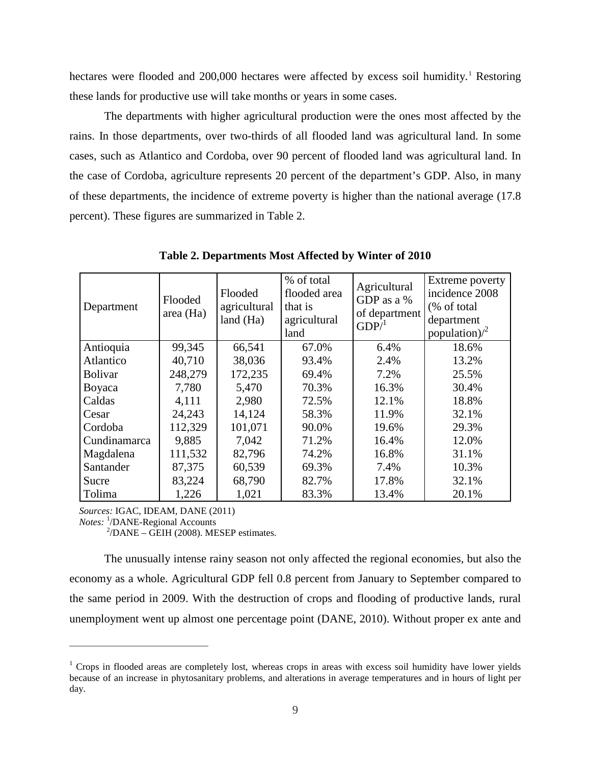hectares were flooded and 200,000 hectares were affected by excess soil humidity. [1](#page-11-0) Restoring these lands for productive use will take months or years in some cases.

The departments with higher agricultural production were the ones most affected by the rains. In those departments, over two-thirds of all flooded land was agricultural land. In some cases, such as Atlantico and Cordoba, over 90 percent of flooded land was agricultural land. In the case of Cordoba, agriculture represents 20 percent of the department's GDP. Also, in many of these departments, the incidence of extreme poverty is higher than the national average (17.8 percent). These figures are summarized in Table 2.

| Department     | Flooded<br>area (Ha) | Flooded<br>agricultural<br>land (Ha) | % of total<br>flooded area<br>that is<br>agricultural<br>land | Agricultural<br>GDP as a %<br>of department<br>GDP <sup>1</sup> | Extreme poverty<br>incidence 2008<br>(% of total<br>department<br>population) $\lambda^2$ |
|----------------|----------------------|--------------------------------------|---------------------------------------------------------------|-----------------------------------------------------------------|-------------------------------------------------------------------------------------------|
| Antioquia      | 99,345               | 66,541                               | 67.0%                                                         | 6.4%                                                            | 18.6%                                                                                     |
| Atlantico      | 40,710               | 38,036                               | 93.4%                                                         | 2.4%                                                            | 13.2%                                                                                     |
| <b>Bolivar</b> | 248,279              | 172,235                              | 69.4%                                                         | 7.2%                                                            | 25.5%                                                                                     |
| Boyaca         | 7,780                | 5,470                                | 70.3%                                                         | 16.3%                                                           | 30.4%                                                                                     |
| Caldas         | 4,111                | 2,980                                | 72.5%                                                         | 12.1%                                                           | 18.8%                                                                                     |
| Cesar          | 24,243               | 14,124                               | 58.3%                                                         | 11.9%                                                           | 32.1%                                                                                     |
| Cordoba        | 112,329              | 101,071                              | 90.0%                                                         | 19.6%                                                           | 29.3%                                                                                     |
| Cundinamarca   | 9,885                | 7,042                                | 71.2%                                                         | 16.4%                                                           | 12.0%                                                                                     |
| Magdalena      | 111,532              | 82,796                               | 74.2%                                                         | 16.8%                                                           | 31.1%                                                                                     |
| Santander      | 87,375               | 60,539                               | 69.3%                                                         | 7.4%                                                            | 10.3%                                                                                     |
| Sucre          | 83,224               | 68,790                               | 82.7%                                                         | 17.8%                                                           | 32.1%                                                                                     |
| Tolima         | 1,226                | 1,021                                | 83.3%                                                         | 13.4%                                                           | 20.1%                                                                                     |

**Table 2. Departments Most Affected by Winter of 2010**

*Sources:* IGAC, IDEAM, DANE (2011)

*Notes:* <sup>1</sup>/DANE-Regional Accounts

 $\overline{a}$ 

 $^{2}/$ DANE – GEIH (2008). MESEP estimates.

The unusually intense rainy season not only affected the regional economies, but also the economy as a whole. Agricultural GDP fell 0.8 percent from January to September compared to the same period in 2009. With the destruction of crops and flooding of productive lands, rural unemployment went up almost one percentage point (DANE, 2010). Without proper ex ante and

<span id="page-11-0"></span><sup>&</sup>lt;sup>1</sup> Crops in flooded areas are completely lost, whereas crops in areas with excess soil humidity have lower yields because of an increase in phytosanitary problems, and alterations in average temperatures and in hours of light per day.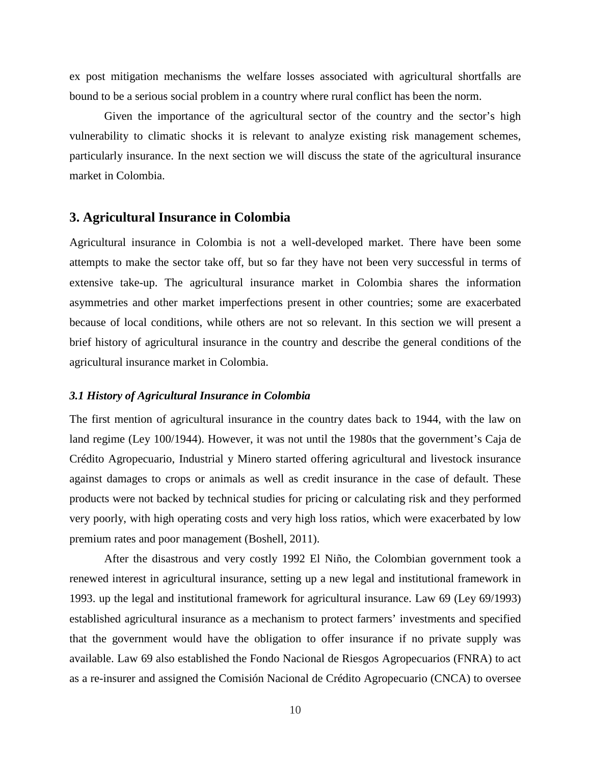ex post mitigation mechanisms the welfare losses associated with agricultural shortfalls are bound to be a serious social problem in a country where rural conflict has been the norm.

Given the importance of the agricultural sector of the country and the sector's high vulnerability to climatic shocks it is relevant to analyze existing risk management schemes, particularly insurance. In the next section we will discuss the state of the agricultural insurance market in Colombia.

# **3. Agricultural Insurance in Colombia**

Agricultural insurance in Colombia is not a well-developed market. There have been some attempts to make the sector take off, but so far they have not been very successful in terms of extensive take-up. The agricultural insurance market in Colombia shares the information asymmetries and other market imperfections present in other countries; some are exacerbated because of local conditions, while others are not so relevant. In this section we will present a brief history of agricultural insurance in the country and describe the general conditions of the agricultural insurance market in Colombia.

### *3.1 History of Agricultural Insurance in Colombia*

The first mention of agricultural insurance in the country dates back to 1944, with the law on land regime (Ley 100/1944). However, it was not until the 1980s that the government's Caja de Crédito Agropecuario, Industrial y Minero started offering agricultural and livestock insurance against damages to crops or animals as well as credit insurance in the case of default. These products were not backed by technical studies for pricing or calculating risk and they performed very poorly, with high operating costs and very high loss ratios, which were exacerbated by low premium rates and poor management (Boshell, 2011).

After the disastrous and very costly 1992 El Niño, the Colombian government took a renewed interest in agricultural insurance, setting up a new legal and institutional framework in 1993. up the legal and institutional framework for agricultural insurance. Law 69 (Ley 69/1993) established agricultural insurance as a mechanism to protect farmers' investments and specified that the government would have the obligation to offer insurance if no private supply was available. Law 69 also established the Fondo Nacional de Riesgos Agropecuarios (FNRA) to act as a re-insurer and assigned the Comisión Nacional de Crédito Agropecuario (CNCA) to oversee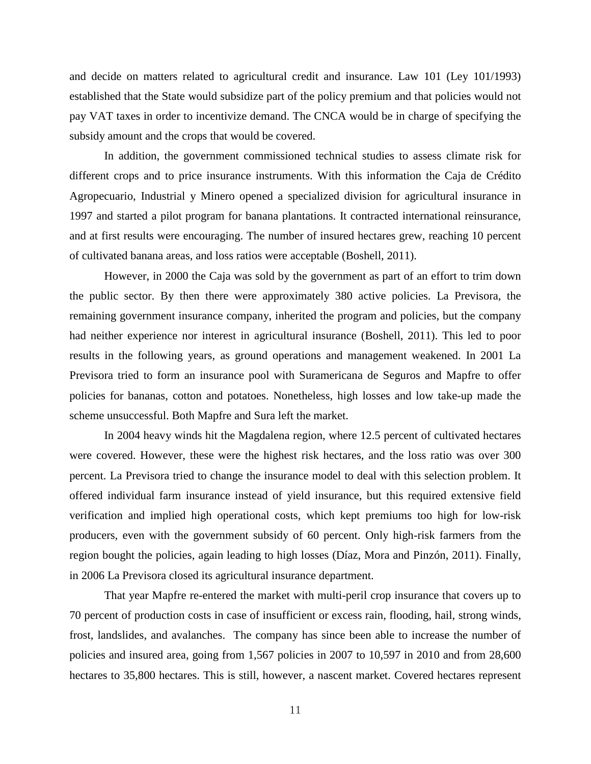and decide on matters related to agricultural credit and insurance. Law 101 (Ley 101/1993) established that the State would subsidize part of the policy premium and that policies would not pay VAT taxes in order to incentivize demand. The CNCA would be in charge of specifying the subsidy amount and the crops that would be covered.

In addition, the government commissioned technical studies to assess climate risk for different crops and to price insurance instruments. With this information the Caja de Crédito Agropecuario, Industrial y Minero opened a specialized division for agricultural insurance in 1997 and started a pilot program for banana plantations. It contracted international reinsurance, and at first results were encouraging. The number of insured hectares grew, reaching 10 percent of cultivated banana areas, and loss ratios were acceptable (Boshell, 2011).

However, in 2000 the Caja was sold by the government as part of an effort to trim down the public sector. By then there were approximately 380 active policies. La Previsora, the remaining government insurance company, inherited the program and policies, but the company had neither experience nor interest in agricultural insurance (Boshell, 2011). This led to poor results in the following years, as ground operations and management weakened. In 2001 La Previsora tried to form an insurance pool with Suramericana de Seguros and Mapfre to offer policies for bananas, cotton and potatoes. Nonetheless, high losses and low take-up made the scheme unsuccessful. Both Mapfre and Sura left the market.

In 2004 heavy winds hit the Magdalena region, where 12.5 percent of cultivated hectares were covered. However, these were the highest risk hectares, and the loss ratio was over 300 percent. La Previsora tried to change the insurance model to deal with this selection problem. It offered individual farm insurance instead of yield insurance, but this required extensive field verification and implied high operational costs, which kept premiums too high for low-risk producers, even with the government subsidy of 60 percent. Only high-risk farmers from the region bought the policies, again leading to high losses (Díaz, Mora and Pinzón, 2011). Finally, in 2006 La Previsora closed its agricultural insurance department.

That year Mapfre re-entered the market with multi-peril crop insurance that covers up to 70 percent of production costs in case of insufficient or excess rain, flooding, hail, strong winds, frost, landslides, and avalanches. The company has since been able to increase the number of policies and insured area, going from 1,567 policies in 2007 to 10,597 in 2010 and from 28,600 hectares to 35,800 hectares. This is still, however, a nascent market. Covered hectares represent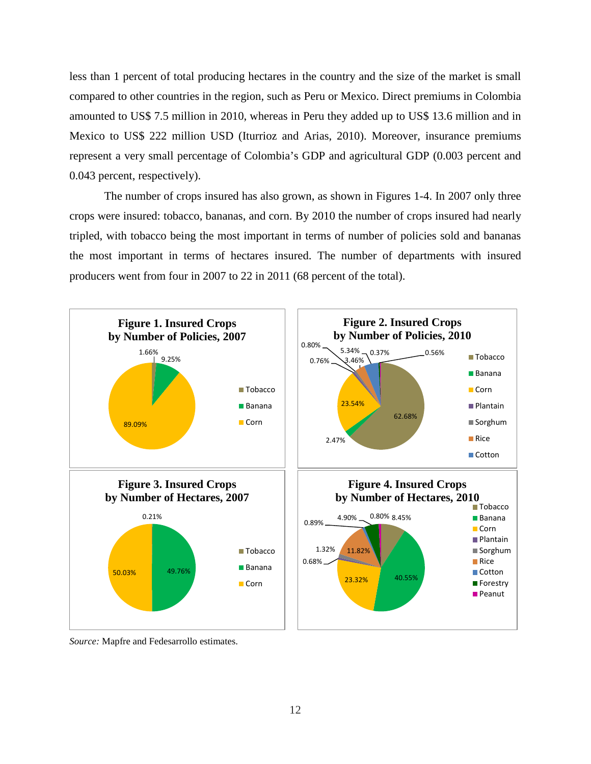less than 1 percent of total producing hectares in the country and the size of the market is small compared to other countries in the region, such as Peru or Mexico. Direct premiums in Colombia amounted to US\$ 7.5 million in 2010, whereas in Peru they added up to US\$ 13.6 million and in Mexico to US\$ 222 million USD (Iturrioz and Arias, 2010). Moreover, insurance premiums represent a very small percentage of Colombia's GDP and agricultural GDP (0.003 percent and 0.043 percent, respectively).

The number of crops insured has also grown, as shown in Figures 1-4. In 2007 only three crops were insured: tobacco, bananas, and corn. By 2010 the number of crops insured had nearly tripled, with tobacco being the most important in terms of number of policies sold and bananas the most important in terms of hectares insured. The number of departments with insured producers went from four in 2007 to 22 in 2011 (68 percent of the total).



*Source:* Mapfre and Fedesarrollo estimates.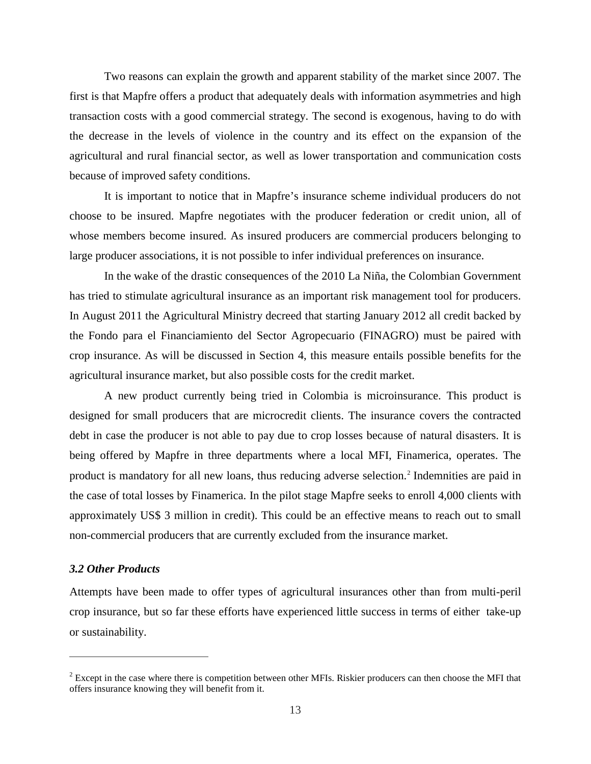Two reasons can explain the growth and apparent stability of the market since 2007. The first is that Mapfre offers a product that adequately deals with information asymmetries and high transaction costs with a good commercial strategy. The second is exogenous, having to do with the decrease in the levels of violence in the country and its effect on the expansion of the agricultural and rural financial sector, as well as lower transportation and communication costs because of improved safety conditions.

It is important to notice that in Mapfre's insurance scheme individual producers do not choose to be insured. Mapfre negotiates with the producer federation or credit union, all of whose members become insured. As insured producers are commercial producers belonging to large producer associations, it is not possible to infer individual preferences on insurance.

In the wake of the drastic consequences of the 2010 La Niña, the Colombian Government has tried to stimulate agricultural insurance as an important risk management tool for producers. In August 2011 the Agricultural Ministry decreed that starting January 2012 all credit backed by the Fondo para el Financiamiento del Sector Agropecuario (FINAGRO) must be paired with crop insurance. As will be discussed in Section 4, this measure entails possible benefits for the agricultural insurance market, but also possible costs for the credit market.

A new product currently being tried in Colombia is microinsurance. This product is designed for small producers that are microcredit clients. The insurance covers the contracted debt in case the producer is not able to pay due to crop losses because of natural disasters. It is being offered by Mapfre in three departments where a local MFI, Finamerica, operates. The product is mandatory for all new loans, thus reducing adverse selection.<sup>[2](#page-15-0)</sup> Indemnities are paid in the case of total losses by Finamerica. In the pilot stage Mapfre seeks to enroll 4,000 clients with approximately US\$ 3 million in credit). This could be an effective means to reach out to small non-commercial producers that are currently excluded from the insurance market.

## *3.2 Other Products*

 $\overline{a}$ 

Attempts have been made to offer types of agricultural insurances other than from multi-peril crop insurance, but so far these efforts have experienced little success in terms of either take-up or sustainability.

<span id="page-15-0"></span> $2$  Except in the case where there is competition between other MFIs. Riskier producers can then choose the MFI that offers insurance knowing they will benefit from it.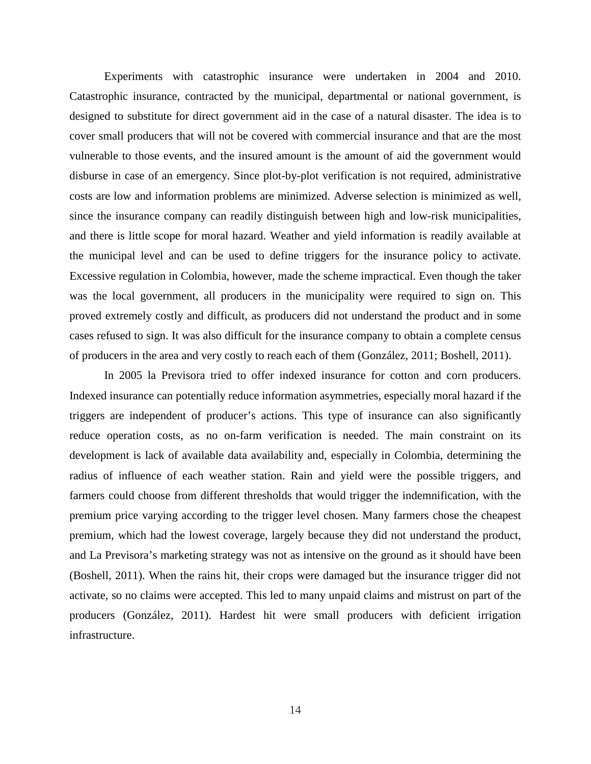Experiments with catastrophic insurance were undertaken in 2004 and 2010. Catastrophic insurance, contracted by the municipal, departmental or national government, is designed to substitute for direct government aid in the case of a natural disaster. The idea is to cover small producers that will not be covered with commercial insurance and that are the most vulnerable to those events, and the insured amount is the amount of aid the government would disburse in case of an emergency. Since plot-by-plot verification is not required, administrative costs are low and information problems are minimized. Adverse selection is minimized as well, since the insurance company can readily distinguish between high and low-risk municipalities, and there is little scope for moral hazard. Weather and yield information is readily available at the municipal level and can be used to define triggers for the insurance policy to activate. Excessive regulation in Colombia, however, made the scheme impractical. Even though the taker was the local government, all producers in the municipality were required to sign on. This proved extremely costly and difficult, as producers did not understand the product and in some cases refused to sign. It was also difficult for the insurance company to obtain a complete census of producers in the area and very costly to reach each of them (González, 2011; Boshell, 2011).

In 2005 la Previsora tried to offer indexed insurance for cotton and corn producers. Indexed insurance can potentially reduce information asymmetries, especially moral hazard if the triggers are independent of producer's actions. This type of insurance can also significantly reduce operation costs, as no on-farm verification is needed. The main constraint on its development is lack of available data availability and, especially in Colombia, determining the radius of influence of each weather station. Rain and yield were the possible triggers, and farmers could choose from different thresholds that would trigger the indemnification, with the premium price varying according to the trigger level chosen. Many farmers chose the cheapest premium, which had the lowest coverage, largely because they did not understand the product, and La Previsora's marketing strategy was not as intensive on the ground as it should have been (Boshell, 2011). When the rains hit, their crops were damaged but the insurance trigger did not activate, so no claims were accepted. This led to many unpaid claims and mistrust on part of the producers (González, 2011). Hardest hit were small producers with deficient irrigation infrastructure.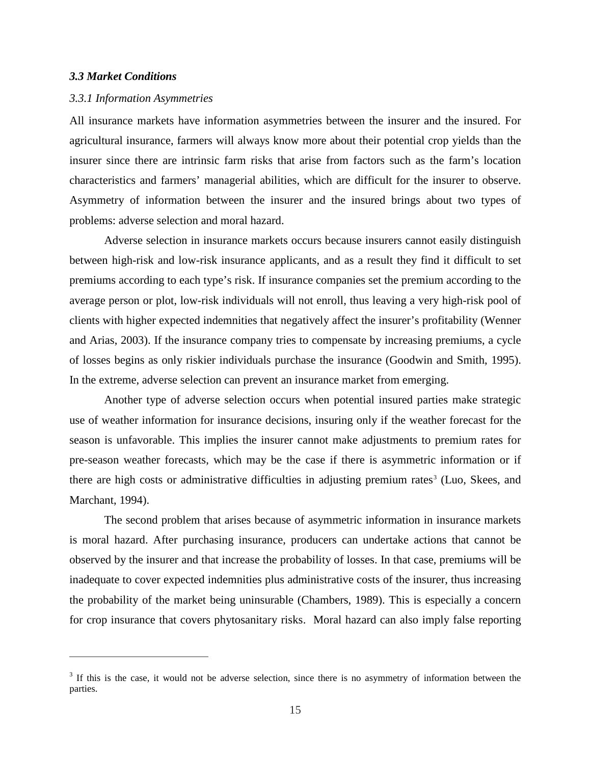## *3.3 Market Conditions*

 $\overline{a}$ 

#### *3.3.1 Information Asymmetries*

All insurance markets have information asymmetries between the insurer and the insured. For agricultural insurance, farmers will always know more about their potential crop yields than the insurer since there are intrinsic farm risks that arise from factors such as the farm's location characteristics and farmers' managerial abilities, which are difficult for the insurer to observe. Asymmetry of information between the insurer and the insured brings about two types of problems: adverse selection and moral hazard.

Adverse selection in insurance markets occurs because insurers cannot easily distinguish between high-risk and low-risk insurance applicants, and as a result they find it difficult to set premiums according to each type's risk. If insurance companies set the premium according to the average person or plot, low-risk individuals will not enroll, thus leaving a very high-risk pool of clients with higher expected indemnities that negatively affect the insurer's profitability (Wenner and Arias, 2003). If the insurance company tries to compensate by increasing premiums, a cycle of losses begins as only riskier individuals purchase the insurance (Goodwin and Smith, 1995). In the extreme, adverse selection can prevent an insurance market from emerging.

Another type of adverse selection occurs when potential insured parties make strategic use of weather information for insurance decisions, insuring only if the weather forecast for the season is unfavorable. This implies the insurer cannot make adjustments to premium rates for pre-season weather forecasts, which may be the case if there is asymmetric information or if there are high costs or administrative difficulties in adjusting premium rates<sup>[3](#page-17-0)</sup> (Luo, Skees, and Marchant, 1994).

The second problem that arises because of asymmetric information in insurance markets is moral hazard. After purchasing insurance, producers can undertake actions that cannot be observed by the insurer and that increase the probability of losses. In that case, premiums will be inadequate to cover expected indemnities plus administrative costs of the insurer, thus increasing the probability of the market being uninsurable (Chambers, 1989). This is especially a concern for crop insurance that covers phytosanitary risks. Moral hazard can also imply false reporting

<span id="page-17-0"></span> $3$  If this is the case, it would not be adverse selection, since there is no asymmetry of information between the parties.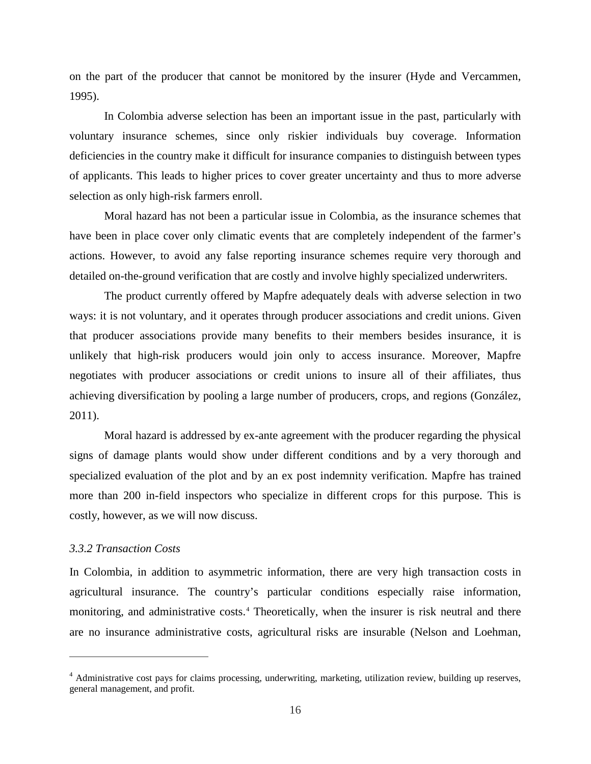on the part of the producer that cannot be monitored by the insurer (Hyde and Vercammen, 1995).

In Colombia adverse selection has been an important issue in the past, particularly with voluntary insurance schemes, since only riskier individuals buy coverage. Information deficiencies in the country make it difficult for insurance companies to distinguish between types of applicants. This leads to higher prices to cover greater uncertainty and thus to more adverse selection as only high-risk farmers enroll.

Moral hazard has not been a particular issue in Colombia, as the insurance schemes that have been in place cover only climatic events that are completely independent of the farmer's actions. However, to avoid any false reporting insurance schemes require very thorough and detailed on-the-ground verification that are costly and involve highly specialized underwriters.

The product currently offered by Mapfre adequately deals with adverse selection in two ways: it is not voluntary, and it operates through producer associations and credit unions. Given that producer associations provide many benefits to their members besides insurance, it is unlikely that high-risk producers would join only to access insurance. Moreover, Mapfre negotiates with producer associations or credit unions to insure all of their affiliates, thus achieving diversification by pooling a large number of producers, crops, and regions (González, 2011).

Moral hazard is addressed by ex-ante agreement with the producer regarding the physical signs of damage plants would show under different conditions and by a very thorough and specialized evaluation of the plot and by an ex post indemnity verification. Mapfre has trained more than 200 in-field inspectors who specialize in different crops for this purpose. This is costly, however, as we will now discuss.

## *3.3.2 Transaction Costs*

 $\overline{a}$ 

In Colombia, in addition to asymmetric information, there are very high transaction costs in agricultural insurance. The country's particular conditions especially raise information, monitoring, and administrative costs.<sup>[4](#page-18-0)</sup> Theoretically, when the insurer is risk neutral and there are no insurance administrative costs, agricultural risks are insurable (Nelson and Loehman,

<span id="page-18-0"></span><sup>&</sup>lt;sup>4</sup> Administrative cost pays for claims processing, underwriting, marketing, utilization review, building up reserves, general management, and profit.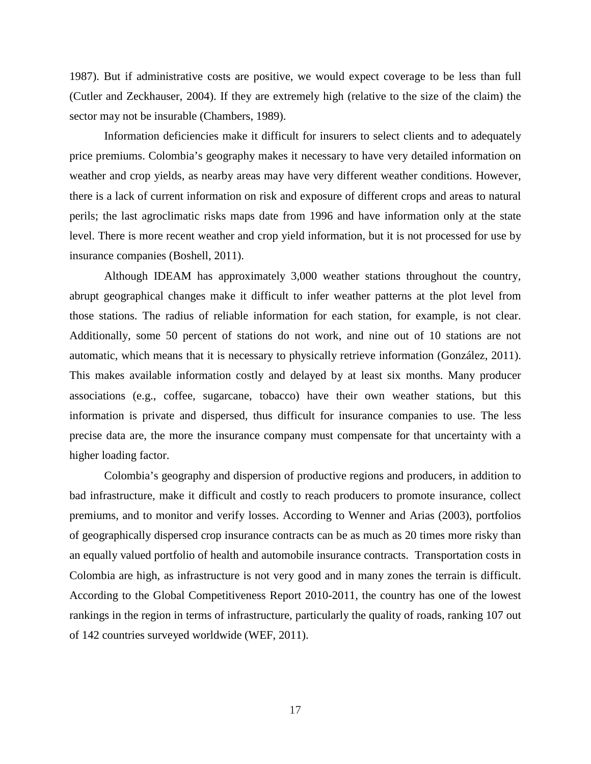1987). But if administrative costs are positive, we would expect coverage to be less than full (Cutler and Zeckhauser, 2004). If they are extremely high (relative to the size of the claim) the sector may not be insurable (Chambers, 1989).

Information deficiencies make it difficult for insurers to select clients and to adequately price premiums. Colombia's geography makes it necessary to have very detailed information on weather and crop yields, as nearby areas may have very different weather conditions. However, there is a lack of current information on risk and exposure of different crops and areas to natural perils; the last agroclimatic risks maps date from 1996 and have information only at the state level. There is more recent weather and crop yield information, but it is not processed for use by insurance companies (Boshell, 2011).

Although IDEAM has approximately 3,000 weather stations throughout the country, abrupt geographical changes make it difficult to infer weather patterns at the plot level from those stations. The radius of reliable information for each station, for example, is not clear. Additionally, some 50 percent of stations do not work, and nine out of 10 stations are not automatic, which means that it is necessary to physically retrieve information (González, 2011). This makes available information costly and delayed by at least six months. Many producer associations (e.g., coffee, sugarcane, tobacco) have their own weather stations, but this information is private and dispersed, thus difficult for insurance companies to use. The less precise data are, the more the insurance company must compensate for that uncertainty with a higher loading factor.

Colombia's geography and dispersion of productive regions and producers, in addition to bad infrastructure, make it difficult and costly to reach producers to promote insurance, collect premiums, and to monitor and verify losses. According to Wenner and Arias (2003), portfolios of geographically dispersed crop insurance contracts can be as much as 20 times more risky than an equally valued portfolio of health and automobile insurance contracts. Transportation costs in Colombia are high, as infrastructure is not very good and in many zones the terrain is difficult. According to the Global Competitiveness Report 2010-2011, the country has one of the lowest rankings in the region in terms of infrastructure, particularly the quality of roads, ranking 107 out of 142 countries surveyed worldwide (WEF, 2011).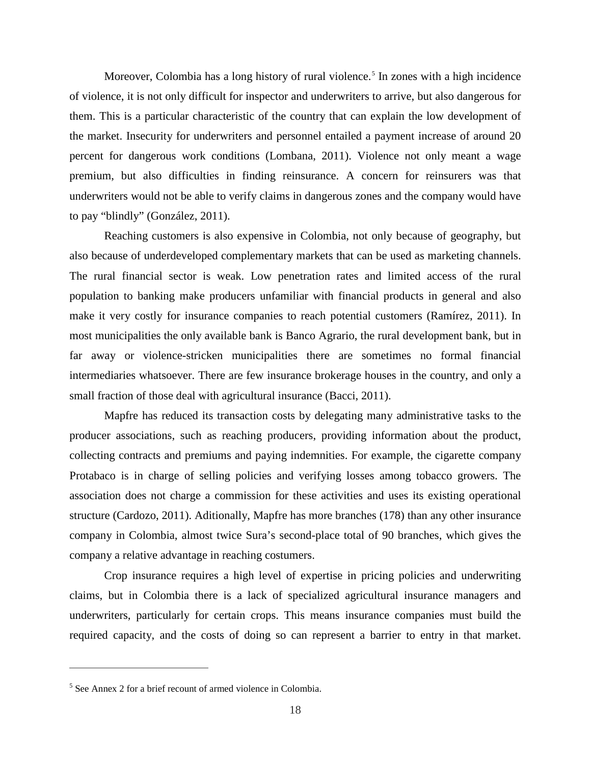Moreover, Colombia has a long history of rural violence.<sup>[5](#page-20-0)</sup> In zones with a high incidence of violence, it is not only difficult for inspector and underwriters to arrive, but also dangerous for them. This is a particular characteristic of the country that can explain the low development of the market. Insecurity for underwriters and personnel entailed a payment increase of around 20 percent for dangerous work conditions (Lombana, 2011). Violence not only meant a wage premium, but also difficulties in finding reinsurance. A concern for reinsurers was that underwriters would not be able to verify claims in dangerous zones and the company would have to pay "blindly" (González, 2011).

Reaching customers is also expensive in Colombia, not only because of geography, but also because of underdeveloped complementary markets that can be used as marketing channels. The rural financial sector is weak. Low penetration rates and limited access of the rural population to banking make producers unfamiliar with financial products in general and also make it very costly for insurance companies to reach potential customers (Ramírez, 2011). In most municipalities the only available bank is Banco Agrario, the rural development bank, but in far away or violence-stricken municipalities there are sometimes no formal financial intermediaries whatsoever. There are few insurance brokerage houses in the country, and only a small fraction of those deal with agricultural insurance (Bacci, 2011).

Mapfre has reduced its transaction costs by delegating many administrative tasks to the producer associations, such as reaching producers, providing information about the product, collecting contracts and premiums and paying indemnities. For example, the cigarette company Protabaco is in charge of selling policies and verifying losses among tobacco growers. The association does not charge a commission for these activities and uses its existing operational structure (Cardozo, 2011). Aditionally, Mapfre has more branches (178) than any other insurance company in Colombia, almost twice Sura's second-place total of 90 branches, which gives the company a relative advantage in reaching costumers.

Crop insurance requires a high level of expertise in pricing policies and underwriting claims, but in Colombia there is a lack of specialized agricultural insurance managers and underwriters, particularly for certain crops. This means insurance companies must build the required capacity, and the costs of doing so can represent a barrier to entry in that market.

 $\overline{a}$ 

<span id="page-20-0"></span><sup>5</sup> See Annex 2 for a brief recount of armed violence in Colombia.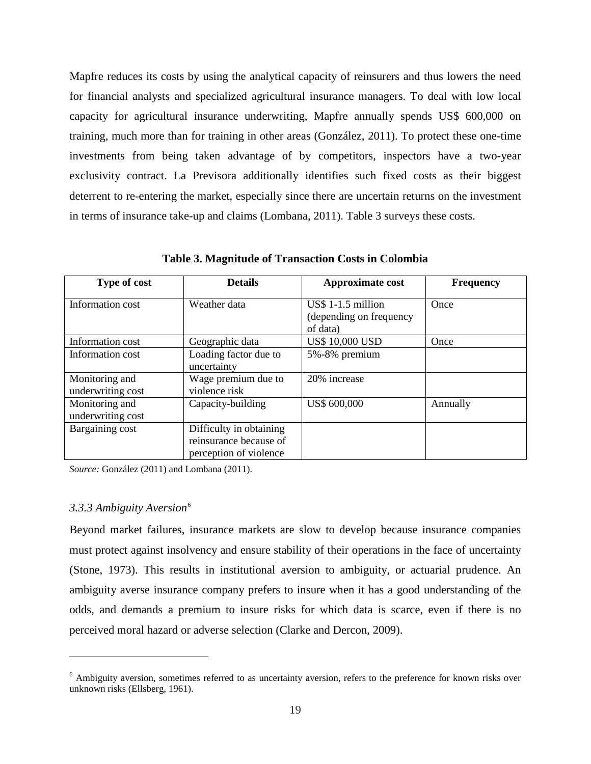Mapfre reduces its costs by using the analytical capacity of reinsurers and thus lowers the need for financial analysts and specialized agricultural insurance managers. To deal with low local capacity for agricultural insurance underwriting, Mapfre annually spends US\$ 600,000 on training, much more than for training in other areas (González, 2011). To protect these one-time investments from being taken advantage of by competitors, inspectors have a two-year exclusivity contract. La Previsora additionally identifies such fixed costs as their biggest deterrent to re-entering the market, especially since there are uncertain returns on the investment in terms of insurance take-up and claims (Lombana, 2011). Table 3 surveys these costs.

| Type of cost                        | <b>Details</b>                                                              | Approximate cost                                           | <b>Frequency</b> |
|-------------------------------------|-----------------------------------------------------------------------------|------------------------------------------------------------|------------------|
| Information cost                    | Weather data                                                                | US\$ 1-1.5 million<br>(depending on frequency)<br>of data) | Once             |
| Information cost                    | Geographic data                                                             | <b>US\$ 10,000 USD</b>                                     | Once             |
| Information cost                    | Loading factor due to<br>uncertainty                                        | 5%-8% premium                                              |                  |
| Monitoring and<br>underwriting cost | Wage premium due to<br>violence risk                                        | 20% increase                                               |                  |
| Monitoring and<br>underwriting cost | Capacity-building                                                           | US\$ 600,000                                               | Annually         |
| Bargaining cost                     | Difficulty in obtaining<br>reinsurance because of<br>perception of violence |                                                            |                  |

**Table 3. Magnitude of Transaction Costs in Colombia**

*Source:* González (2011) and Lombana (2011).

## *3.3.3 Ambiguity Aversion[6](#page-21-0)*

 $\overline{a}$ 

Beyond market failures, insurance markets are slow to develop because insurance companies must protect against insolvency and ensure stability of their operations in the face of uncertainty (Stone, 1973). This results in institutional aversion to ambiguity, or actuarial prudence. An ambiguity averse insurance company prefers to insure when it has a good understanding of the odds, and demands a premium to insure risks for which data is scarce, even if there is no perceived moral hazard or adverse selection (Clarke and Dercon, 2009).

<span id="page-21-0"></span> $6$  Ambiguity aversion, sometimes referred to as uncertainty aversion, refers to the preference for known risks over unknown risks (Ellsberg, 1961).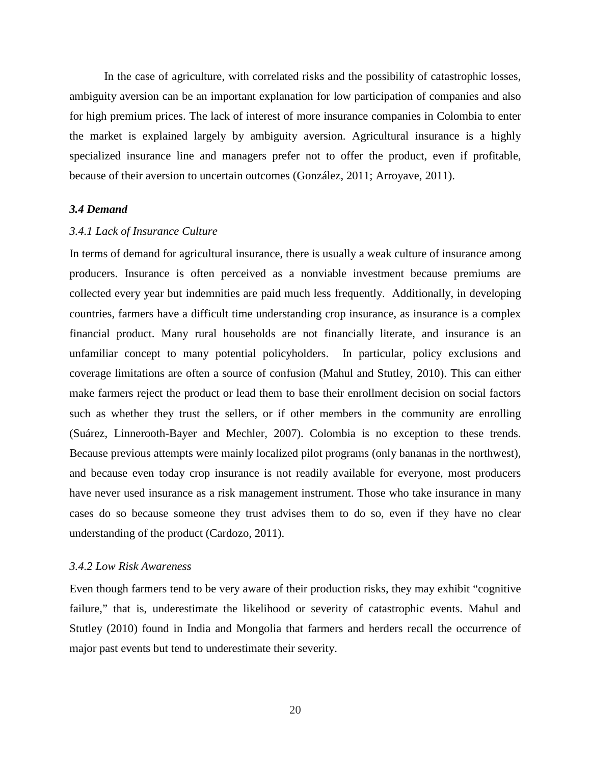In the case of agriculture, with correlated risks and the possibility of catastrophic losses, ambiguity aversion can be an important explanation for low participation of companies and also for high premium prices. The lack of interest of more insurance companies in Colombia to enter the market is explained largely by ambiguity aversion. Agricultural insurance is a highly specialized insurance line and managers prefer not to offer the product, even if profitable, because of their aversion to uncertain outcomes (González, 2011; Arroyave, 2011).

## *3.4 Demand*

#### *3.4.1 Lack of Insurance Culture*

In terms of demand for agricultural insurance, there is usually a weak culture of insurance among producers. Insurance is often perceived as a nonviable investment because premiums are collected every year but indemnities are paid much less frequently. Additionally, in developing countries, farmers have a difficult time understanding crop insurance, as insurance is a complex financial product. Many rural households are not financially literate, and insurance is an unfamiliar concept to many potential policyholders. In particular, policy exclusions and coverage limitations are often a source of confusion (Mahul and Stutley, 2010). This can either make farmers reject the product or lead them to base their enrollment decision on social factors such as whether they trust the sellers, or if other members in the community are enrolling (Suárez, Linnerooth-Bayer and Mechler, 2007). Colombia is no exception to these trends. Because previous attempts were mainly localized pilot programs (only bananas in the northwest), and because even today crop insurance is not readily available for everyone, most producers have never used insurance as a risk management instrument. Those who take insurance in many cases do so because someone they trust advises them to do so, even if they have no clear understanding of the product (Cardozo, 2011).

#### *3.4.2 Low Risk Awareness*

Even though farmers tend to be very aware of their production risks, they may exhibit "cognitive failure," that is, underestimate the likelihood or severity of catastrophic events. Mahul and Stutley (2010) found in India and Mongolia that farmers and herders recall the occurrence of major past events but tend to underestimate their severity.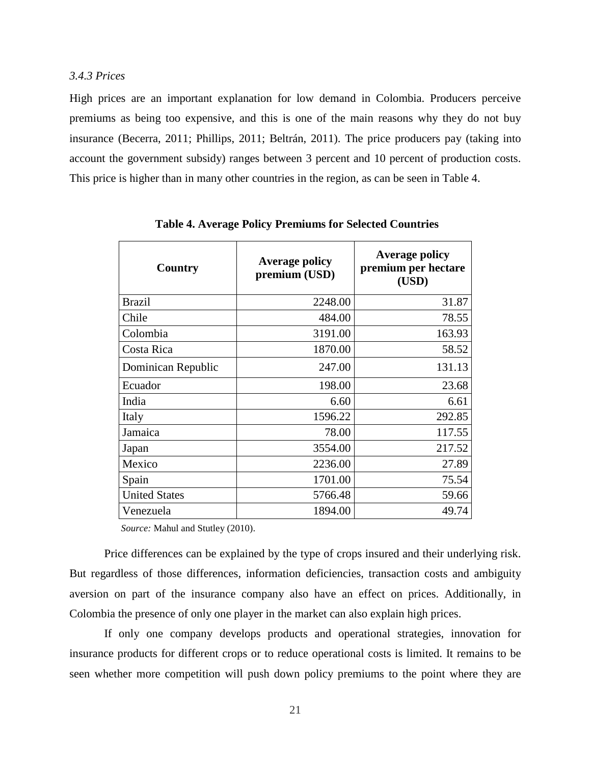# *3.4.3 Prices*

High prices are an important explanation for low demand in Colombia. Producers perceive premiums as being too expensive, and this is one of the main reasons why they do not buy insurance (Becerra, 2011; Phillips, 2011; Beltrán, 2011). The price producers pay (taking into account the government subsidy) ranges between 3 percent and 10 percent of production costs. This price is higher than in many other countries in the region, as can be seen in Table 4.

| Country              | <b>Average policy</b><br>premium (USD) | <b>Average policy</b><br>premium per hectare<br>(USD) |
|----------------------|----------------------------------------|-------------------------------------------------------|
| <b>Brazil</b>        | 2248.00                                | 31.87                                                 |
| Chile                | 484.00                                 | 78.55                                                 |
| Colombia             | 3191.00                                | 163.93                                                |
| Costa Rica           | 1870.00                                | 58.52                                                 |
| Dominican Republic   | 247.00                                 | 131.13                                                |
| Ecuador              | 198.00                                 | 23.68                                                 |
| India                | 6.60                                   | 6.61                                                  |
| Italy                | 1596.22                                | 292.85                                                |
| Jamaica              | 78.00                                  | 117.55                                                |
| Japan                | 3554.00                                | 217.52                                                |
| Mexico               | 2236.00                                | 27.89                                                 |
| Spain                | 1701.00                                | 75.54                                                 |
| <b>United States</b> | 5766.48                                | 59.66                                                 |
| Venezuela            | 1894.00                                | 49.74                                                 |

**Table 4. Average Policy Premiums for Selected Countries**

 *Source:* Mahul and Stutley (2010).

Price differences can be explained by the type of crops insured and their underlying risk. But regardless of those differences, information deficiencies, transaction costs and ambiguity aversion on part of the insurance company also have an effect on prices. Additionally, in Colombia the presence of only one player in the market can also explain high prices.

If only one company develops products and operational strategies, innovation for insurance products for different crops or to reduce operational costs is limited. It remains to be seen whether more competition will push down policy premiums to the point where they are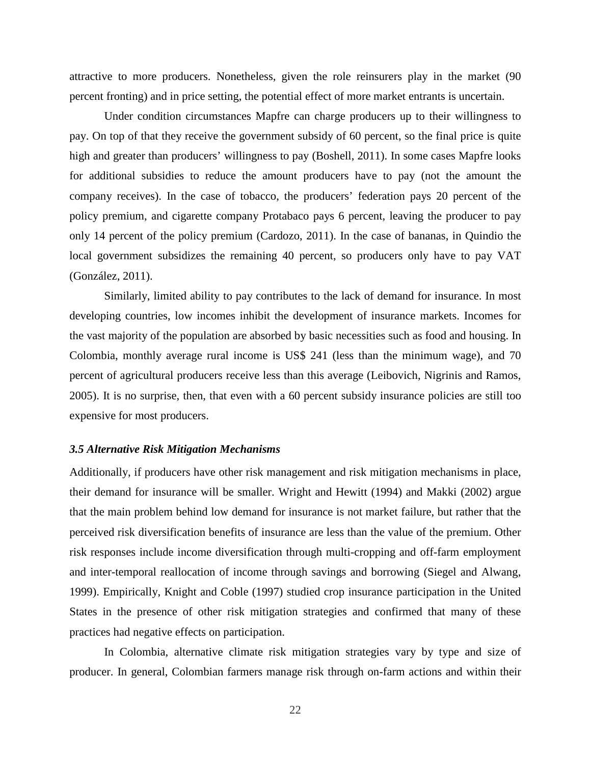attractive to more producers. Nonetheless, given the role reinsurers play in the market (90 percent fronting) and in price setting, the potential effect of more market entrants is uncertain.

Under condition circumstances Mapfre can charge producers up to their willingness to pay. On top of that they receive the government subsidy of 60 percent, so the final price is quite high and greater than producers' willingness to pay (Boshell, 2011). In some cases Mapfre looks for additional subsidies to reduce the amount producers have to pay (not the amount the company receives). In the case of tobacco, the producers' federation pays 20 percent of the policy premium, and cigarette company Protabaco pays 6 percent, leaving the producer to pay only 14 percent of the policy premium (Cardozo, 2011). In the case of bananas, in Quindio the local government subsidizes the remaining 40 percent, so producers only have to pay VAT (González, 2011).

Similarly, limited ability to pay contributes to the lack of demand for insurance. In most developing countries, low incomes inhibit the development of insurance markets. Incomes for the vast majority of the population are absorbed by basic necessities such as food and housing. In Colombia, monthly average rural income is US\$ 241 (less than the minimum wage), and 70 percent of agricultural producers receive less than this average (Leibovich, Nigrinis and Ramos, 2005). It is no surprise, then, that even with a 60 percent subsidy insurance policies are still too expensive for most producers.

#### *3.5 Alternative Risk Mitigation Mechanisms*

Additionally, if producers have other risk management and risk mitigation mechanisms in place, their demand for insurance will be smaller. Wright and Hewitt (1994) and Makki (2002) argue that the main problem behind low demand for insurance is not market failure, but rather that the perceived risk diversification benefits of insurance are less than the value of the premium. Other risk responses include income diversification through multi-cropping and off-farm employment and inter-temporal reallocation of income through savings and borrowing (Siegel and Alwang, 1999). Empirically, Knight and Coble (1997) studied crop insurance participation in the United States in the presence of other risk mitigation strategies and confirmed that many of these practices had negative effects on participation.

In Colombia, alternative climate risk mitigation strategies vary by type and size of producer. In general, Colombian farmers manage risk through on-farm actions and within their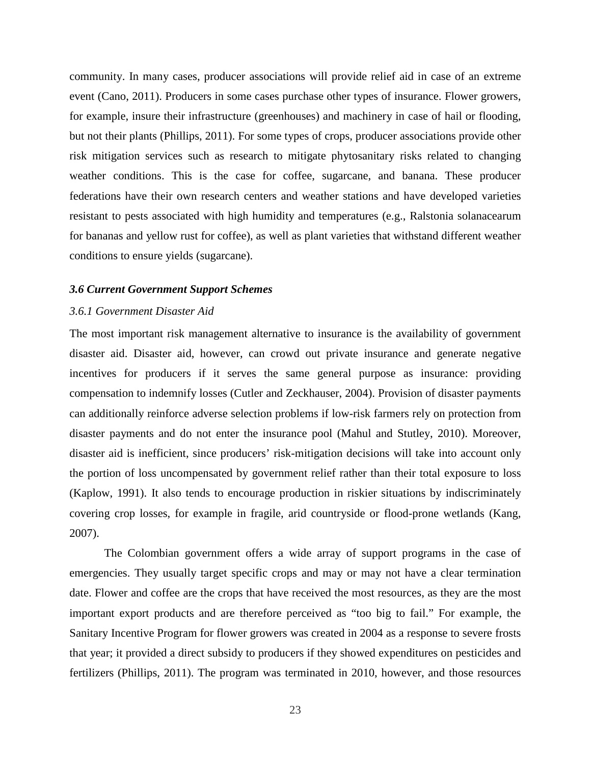community. In many cases, producer associations will provide relief aid in case of an extreme event (Cano, 2011). Producers in some cases purchase other types of insurance. Flower growers, for example, insure their infrastructure (greenhouses) and machinery in case of hail or flooding, but not their plants (Phillips, 2011). For some types of crops, producer associations provide other risk mitigation services such as research to mitigate phytosanitary risks related to changing weather conditions. This is the case for coffee, sugarcane, and banana. These producer federations have their own research centers and weather stations and have developed varieties resistant to pests associated with high humidity and temperatures (e.g., Ralstonia solanacearum for bananas and yellow rust for coffee), as well as plant varieties that withstand different weather conditions to ensure yields (sugarcane).

#### *3.6 Current Government Support Schemes*

#### *3.6.1 Government Disaster Aid*

The most important risk management alternative to insurance is the availability of government disaster aid. Disaster aid, however, can crowd out private insurance and generate negative incentives for producers if it serves the same general purpose as insurance: providing compensation to indemnify losses (Cutler and Zeckhauser, 2004). Provision of disaster payments can additionally reinforce adverse selection problems if low-risk farmers rely on protection from disaster payments and do not enter the insurance pool (Mahul and Stutley, 2010). Moreover, disaster aid is inefficient, since producers' risk-mitigation decisions will take into account only the portion of loss uncompensated by government relief rather than their total exposure to loss (Kaplow, 1991). It also tends to encourage production in riskier situations by indiscriminately covering crop losses, for example in fragile, arid countryside or flood-prone wetlands (Kang, 2007).

The Colombian government offers a wide array of support programs in the case of emergencies. They usually target specific crops and may or may not have a clear termination date. Flower and coffee are the crops that have received the most resources, as they are the most important export products and are therefore perceived as "too big to fail." For example, the Sanitary Incentive Program for flower growers was created in 2004 as a response to severe frosts that year; it provided a direct subsidy to producers if they showed expenditures on pesticides and fertilizers (Phillips, 2011). The program was terminated in 2010, however, and those resources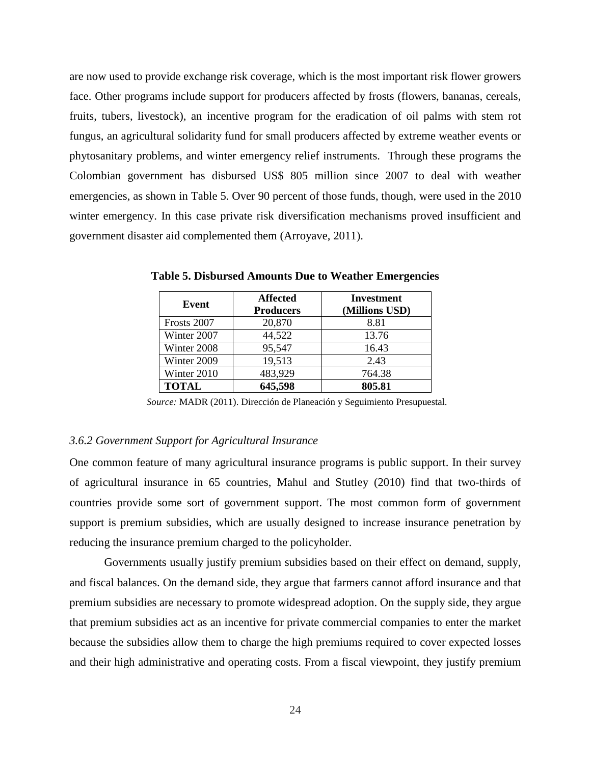are now used to provide exchange risk coverage, which is the most important risk flower growers face. Other programs include support for producers affected by frosts (flowers, bananas, cereals, fruits, tubers, livestock), an incentive program for the eradication of oil palms with stem rot fungus, an agricultural solidarity fund for small producers affected by extreme weather events or phytosanitary problems, and winter emergency relief instruments. Through these programs the Colombian government has disbursed US\$ 805 million since 2007 to deal with weather emergencies, as shown in Table 5. Over 90 percent of those funds, though, were used in the 2010 winter emergency. In this case private risk diversification mechanisms proved insufficient and government disaster aid complemented them (Arroyave, 2011).

| Event        | <b>Affected</b><br><b>Producers</b> | <b>Investment</b><br>(Millions USD) |
|--------------|-------------------------------------|-------------------------------------|
| Frosts 2007  | 20,870                              | 8.81                                |
| Winter 2007  | 44,522                              | 13.76                               |
| Winter 2008  | 95,547                              | 16.43                               |
| Winter 2009  | 19,513                              | 2.43                                |
| Winter 2010  | 483,929                             | 764.38                              |
| <b>TOTAL</b> | 645,598                             | 805.81                              |

**Table 5. Disbursed Amounts Due to Weather Emergencies**

*Source:* MADR (2011). Dirección de Planeación y Seguimiento Presupuestal.

## *3.6.2 Government Support for Agricultural Insurance*

One common feature of many agricultural insurance programs is public support. In their survey of agricultural insurance in 65 countries, Mahul and Stutley (2010) find that two-thirds of countries provide some sort of government support. The most common form of government support is premium subsidies, which are usually designed to increase insurance penetration by reducing the insurance premium charged to the policyholder.

Governments usually justify premium subsidies based on their effect on demand, supply, and fiscal balances. On the demand side, they argue that farmers cannot afford insurance and that premium subsidies are necessary to promote widespread adoption. On the supply side, they argue that premium subsidies act as an incentive for private commercial companies to enter the market because the subsidies allow them to charge the high premiums required to cover expected losses and their high administrative and operating costs. From a fiscal viewpoint, they justify premium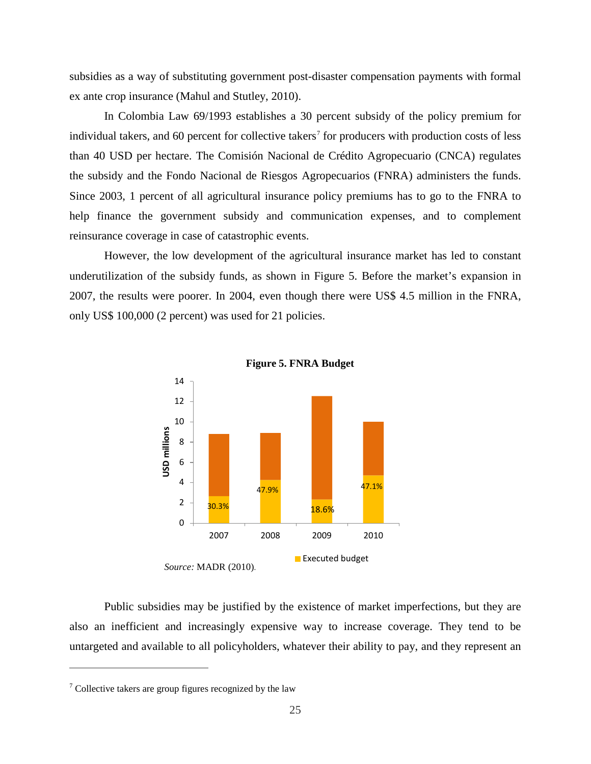subsidies as a way of substituting government post-disaster compensation payments with formal ex ante crop insurance (Mahul and Stutley, 2010).

In Colombia Law 69/1993 establishes a 30 percent subsidy of the policy premium for individual takers, and 60 percent for collective takers<sup>[7](#page-27-0)</sup> for producers with production costs of less than 40 USD per hectare. The Comisión Nacional de Crédito Agropecuario (CNCA) regulates the subsidy and the Fondo Nacional de Riesgos Agropecuarios (FNRA) administers the funds. Since 2003, 1 percent of all agricultural insurance policy premiums has to go to the FNRA to help finance the government subsidy and communication expenses, and to complement reinsurance coverage in case of catastrophic events.

However, the low development of the agricultural insurance market has led to constant underutilization of the subsidy funds, as shown in Figure 5. Before the market's expansion in 2007, the results were poorer. In 2004, even though there were US\$ 4.5 million in the FNRA, only US\$ 100,000 (2 percent) was used for 21 policies.





Public subsidies may be justified by the existence of market imperfections, but they are also an inefficient and increasingly expensive way to increase coverage. They tend to be untargeted and available to all policyholders, whatever their ability to pay, and they represent an

 $\overline{a}$ 

<span id="page-27-0"></span> $\frac{7}{7}$  Collective takers are group figures recognized by the law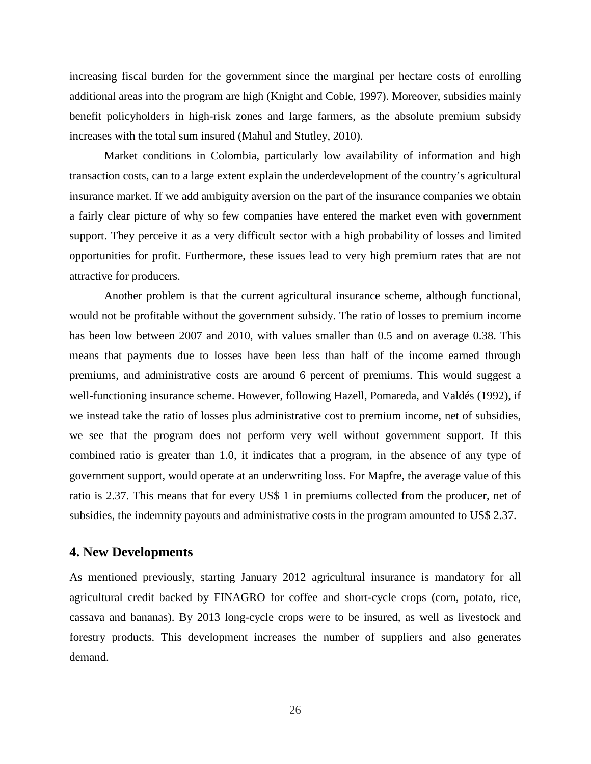increasing fiscal burden for the government since the marginal per hectare costs of enrolling additional areas into the program are high (Knight and Coble, 1997). Moreover, subsidies mainly benefit policyholders in high-risk zones and large farmers, as the absolute premium subsidy increases with the total sum insured (Mahul and Stutley, 2010).

Market conditions in Colombia, particularly low availability of information and high transaction costs, can to a large extent explain the underdevelopment of the country's agricultural insurance market. If we add ambiguity aversion on the part of the insurance companies we obtain a fairly clear picture of why so few companies have entered the market even with government support. They perceive it as a very difficult sector with a high probability of losses and limited opportunities for profit. Furthermore, these issues lead to very high premium rates that are not attractive for producers.

Another problem is that the current agricultural insurance scheme, although functional, would not be profitable without the government subsidy. The ratio of losses to premium income has been low between 2007 and 2010, with values smaller than 0.5 and on average 0.38. This means that payments due to losses have been less than half of the income earned through premiums, and administrative costs are around 6 percent of premiums. This would suggest a well-functioning insurance scheme. However, following Hazell, Pomareda, and Valdés (1992), if we instead take the ratio of losses plus administrative cost to premium income, net of subsidies, we see that the program does not perform very well without government support. If this combined ratio is greater than 1.0, it indicates that a program, in the absence of any type of government support, would operate at an underwriting loss. For Mapfre, the average value of this ratio is 2.37. This means that for every US\$ 1 in premiums collected from the producer, net of subsidies, the indemnity payouts and administrative costs in the program amounted to US\$ 2.37.

# **4. New Developments**

As mentioned previously, starting January 2012 agricultural insurance is mandatory for all agricultural credit backed by FINAGRO for coffee and short-cycle crops (corn, potato, rice, cassava and bananas). By 2013 long-cycle crops were to be insured, as well as livestock and forestry products. This development increases the number of suppliers and also generates demand.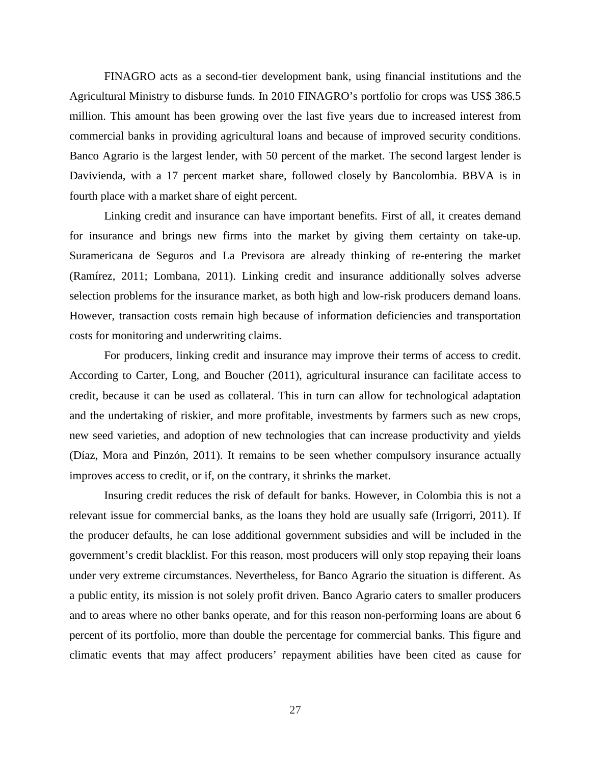FINAGRO acts as a second-tier development bank, using financial institutions and the Agricultural Ministry to disburse funds. In 2010 FINAGRO's portfolio for crops was US\$ 386.5 million. This amount has been growing over the last five years due to increased interest from commercial banks in providing agricultural loans and because of improved security conditions. Banco Agrario is the largest lender, with 50 percent of the market. The second largest lender is Davivienda, with a 17 percent market share, followed closely by Bancolombia. BBVA is in fourth place with a market share of eight percent.

Linking credit and insurance can have important benefits. First of all, it creates demand for insurance and brings new firms into the market by giving them certainty on take-up. Suramericana de Seguros and La Previsora are already thinking of re-entering the market (Ramírez, 2011; Lombana, 2011). Linking credit and insurance additionally solves adverse selection problems for the insurance market, as both high and low-risk producers demand loans. However, transaction costs remain high because of information deficiencies and transportation costs for monitoring and underwriting claims.

For producers, linking credit and insurance may improve their terms of access to credit. According to Carter, Long, and Boucher (2011), agricultural insurance can facilitate access to credit, because it can be used as collateral. This in turn can allow for technological adaptation and the undertaking of riskier, and more profitable, investments by farmers such as new crops, new seed varieties, and adoption of new technologies that can increase productivity and yields (Díaz, Mora and Pinzón, 2011). It remains to be seen whether compulsory insurance actually improves access to credit, or if, on the contrary, it shrinks the market.

Insuring credit reduces the risk of default for banks. However, in Colombia this is not a relevant issue for commercial banks, as the loans they hold are usually safe (Irrigorri, 2011). If the producer defaults, he can lose additional government subsidies and will be included in the government's credit blacklist. For this reason, most producers will only stop repaying their loans under very extreme circumstances. Nevertheless, for Banco Agrario the situation is different. As a public entity, its mission is not solely profit driven. Banco Agrario caters to smaller producers and to areas where no other banks operate, and for this reason non-performing loans are about 6 percent of its portfolio, more than double the percentage for commercial banks. This figure and climatic events that may affect producers' repayment abilities have been cited as cause for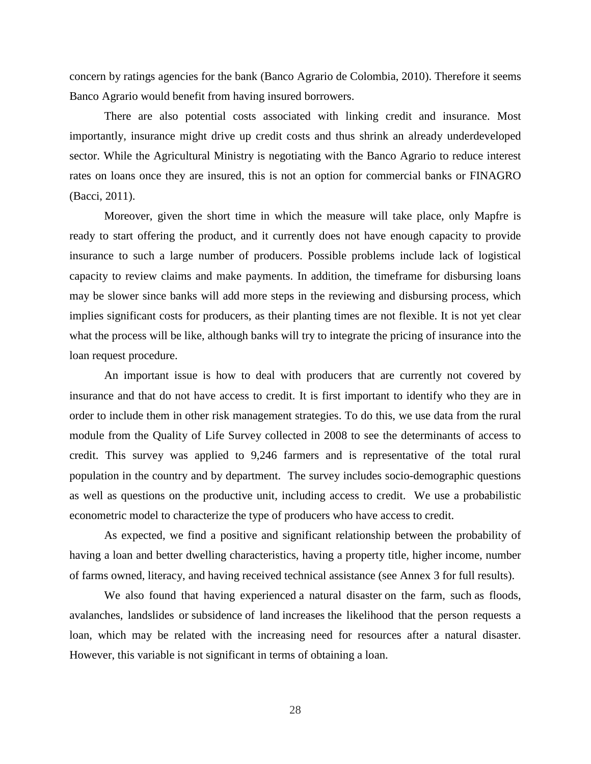concern by ratings agencies for the bank (Banco Agrario de Colombia, 2010). Therefore it seems Banco Agrario would benefit from having insured borrowers.

There are also potential costs associated with linking credit and insurance. Most importantly, insurance might drive up credit costs and thus shrink an already underdeveloped sector. While the Agricultural Ministry is negotiating with the Banco Agrario to reduce interest rates on loans once they are insured, this is not an option for commercial banks or FINAGRO (Bacci, 2011).

Moreover, given the short time in which the measure will take place, only Mapfre is ready to start offering the product, and it currently does not have enough capacity to provide insurance to such a large number of producers. Possible problems include lack of logistical capacity to review claims and make payments. In addition, the timeframe for disbursing loans may be slower since banks will add more steps in the reviewing and disbursing process, which implies significant costs for producers, as their planting times are not flexible. It is not yet clear what the process will be like, although banks will try to integrate the pricing of insurance into the loan request procedure.

An important issue is how to deal with producers that are currently not covered by insurance and that do not have access to credit. It is first important to identify who they are in order to include them in other risk management strategies. To do this, we use data from the rural module from the Quality of Life Survey collected in 2008 to see the determinants of access to credit. This survey was applied to 9,246 farmers and is representative of the total rural population in the country and by department. The survey includes socio-demographic questions as well as questions on the productive unit, including access to credit. We use a probabilistic econometric model to characterize the type of producers who have access to credit.

As expected, we find a positive and significant relationship between the probability of having a loan and better dwelling characteristics, having a property title, higher income, number of farms owned, literacy, and having received technical assistance (see Annex 3 for full results).

We also found that having experienced a natural disaster on the farm, such as floods, avalanches, landslides or subsidence of land increases the likelihood that the person requests a loan, which may be related with the increasing need for resources after a natural disaster. However, this variable is not significant in terms of obtaining a loan.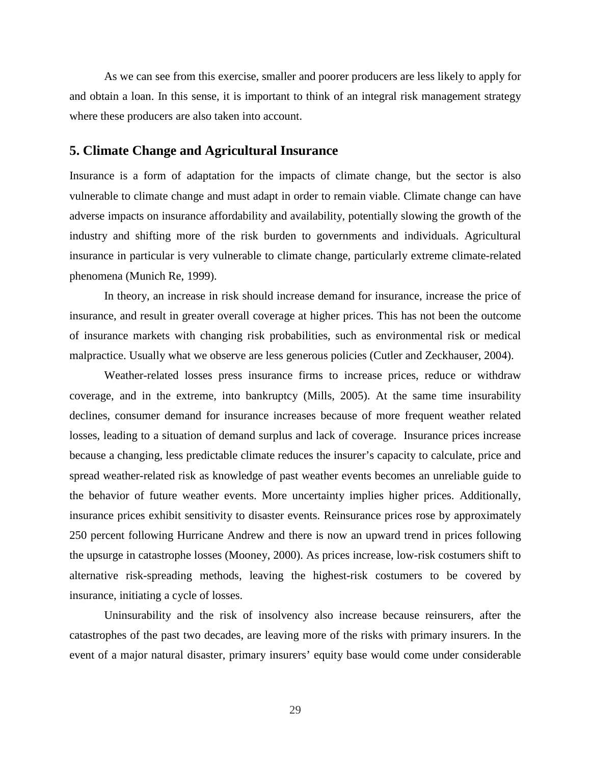As we can see from this exercise, smaller and poorer producers are less likely to apply for and obtain a loan. In this sense, it is important to think of an integral risk management strategy where these producers are also taken into account.

# **5. Climate Change and Agricultural Insurance**

Insurance is a form of adaptation for the impacts of climate change, but the sector is also vulnerable to climate change and must adapt in order to remain viable. Climate change can have adverse impacts on insurance affordability and availability, potentially slowing the growth of the industry and shifting more of the risk burden to governments and individuals. Agricultural insurance in particular is very vulnerable to climate change, particularly extreme climate-related phenomena (Munich Re, 1999).

In theory, an increase in risk should increase demand for insurance, increase the price of insurance, and result in greater overall coverage at higher prices. This has not been the outcome of insurance markets with changing risk probabilities, such as environmental risk or medical malpractice. Usually what we observe are less generous policies (Cutler and Zeckhauser, 2004).

Weather-related losses press insurance firms to increase prices, reduce or withdraw coverage, and in the extreme, into bankruptcy (Mills, 2005). At the same time insurability declines, consumer demand for insurance increases because of more frequent weather related losses, leading to a situation of demand surplus and lack of coverage. Insurance prices increase because a changing, less predictable climate reduces the insurer's capacity to calculate, price and spread weather-related risk as knowledge of past weather events becomes an unreliable guide to the behavior of future weather events. More uncertainty implies higher prices. Additionally, insurance prices exhibit sensitivity to disaster events. Reinsurance prices rose by approximately 250 percent following Hurricane Andrew and there is now an upward trend in prices following the upsurge in catastrophe losses (Mooney, 2000). As prices increase, low-risk costumers shift to alternative risk-spreading methods, leaving the highest-risk costumers to be covered by insurance, initiating a cycle of losses.

Uninsurability and the risk of insolvency also increase because reinsurers, after the catastrophes of the past two decades, are leaving more of the risks with primary insurers. In the event of a major natural disaster, primary insurers' equity base would come under considerable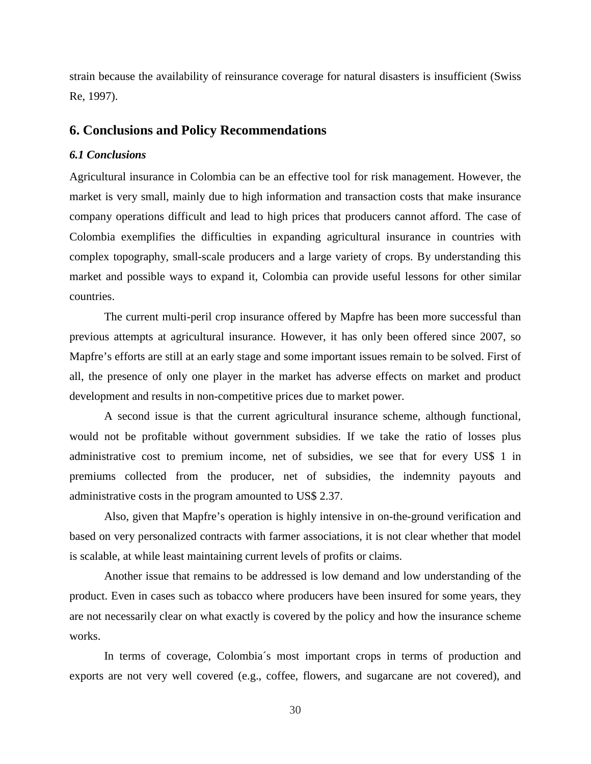strain because the availability of reinsurance coverage for natural disasters is insufficient (Swiss Re, 1997).

# **6. Conclusions and Policy Recommendations**

## *6.1 Conclusions*

Agricultural insurance in Colombia can be an effective tool for risk management. However, the market is very small, mainly due to high information and transaction costs that make insurance company operations difficult and lead to high prices that producers cannot afford. The case of Colombia exemplifies the difficulties in expanding agricultural insurance in countries with complex topography, small-scale producers and a large variety of crops. By understanding this market and possible ways to expand it, Colombia can provide useful lessons for other similar countries.

The current multi-peril crop insurance offered by Mapfre has been more successful than previous attempts at agricultural insurance. However, it has only been offered since 2007, so Mapfre's efforts are still at an early stage and some important issues remain to be solved. First of all, the presence of only one player in the market has adverse effects on market and product development and results in non-competitive prices due to market power.

A second issue is that the current agricultural insurance scheme, although functional, would not be profitable without government subsidies. If we take the ratio of losses plus administrative cost to premium income, net of subsidies, we see that for every US\$ 1 in premiums collected from the producer, net of subsidies, the indemnity payouts and administrative costs in the program amounted to US\$ 2.37.

Also, given that Mapfre's operation is highly intensive in on-the-ground verification and based on very personalized contracts with farmer associations, it is not clear whether that model is scalable, at while least maintaining current levels of profits or claims.

Another issue that remains to be addressed is low demand and low understanding of the product. Even in cases such as tobacco where producers have been insured for some years, they are not necessarily clear on what exactly is covered by the policy and how the insurance scheme works.

In terms of coverage, Colombia´s most important crops in terms of production and exports are not very well covered (e.g., coffee, flowers, and sugarcane are not covered), and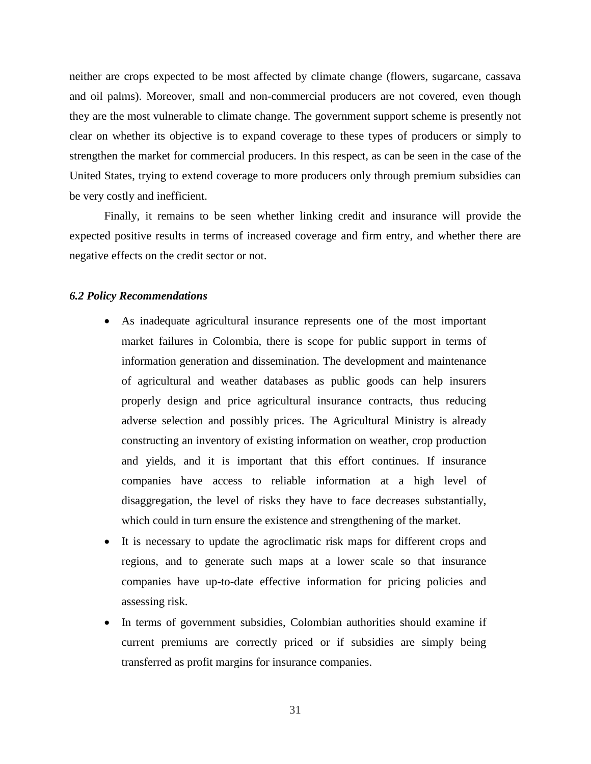neither are crops expected to be most affected by climate change (flowers, sugarcane, cassava and oil palms). Moreover, small and non-commercial producers are not covered, even though they are the most vulnerable to climate change. The government support scheme is presently not clear on whether its objective is to expand coverage to these types of producers or simply to strengthen the market for commercial producers. In this respect, as can be seen in the case of the United States, trying to extend coverage to more producers only through premium subsidies can be very costly and inefficient.

Finally, it remains to be seen whether linking credit and insurance will provide the expected positive results in terms of increased coverage and firm entry, and whether there are negative effects on the credit sector or not.

#### *6.2 Policy Recommendations*

- As inadequate agricultural insurance represents one of the most important market failures in Colombia, there is scope for public support in terms of information generation and dissemination. The development and maintenance of agricultural and weather databases as public goods can help insurers properly design and price agricultural insurance contracts, thus reducing adverse selection and possibly prices. The Agricultural Ministry is already constructing an inventory of existing information on weather, crop production and yields, and it is important that this effort continues. If insurance companies have access to reliable information at a high level of disaggregation, the level of risks they have to face decreases substantially, which could in turn ensure the existence and strengthening of the market.
- It is necessary to update the agroclimatic risk maps for different crops and regions, and to generate such maps at a lower scale so that insurance companies have up-to-date effective information for pricing policies and assessing risk.
- In terms of government subsidies, Colombian authorities should examine if current premiums are correctly priced or if subsidies are simply being transferred as profit margins for insurance companies.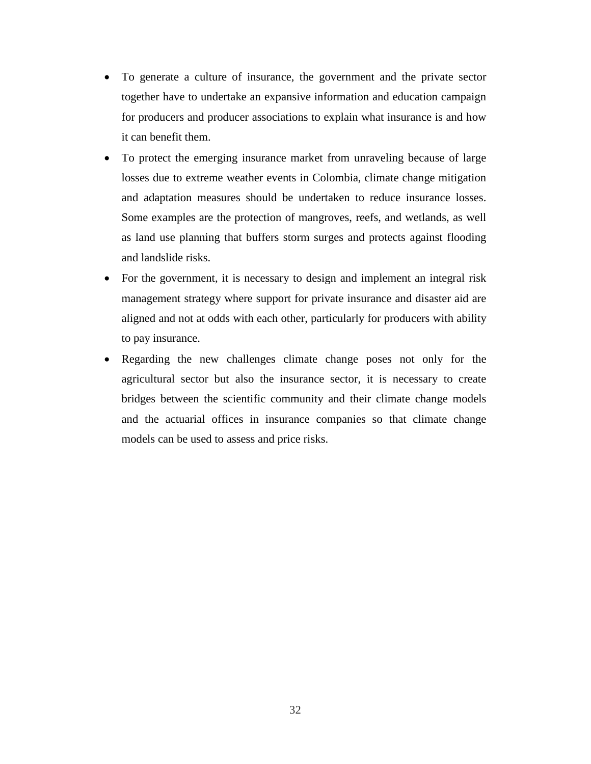- To generate a culture of insurance, the government and the private sector together have to undertake an expansive information and education campaign for producers and producer associations to explain what insurance is and how it can benefit them.
- To protect the emerging insurance market from unraveling because of large losses due to extreme weather events in Colombia, climate change mitigation and adaptation measures should be undertaken to reduce insurance losses. Some examples are the protection of mangroves, reefs, and wetlands, as well as land use planning that buffers storm surges and protects against flooding and landslide risks.
- For the government, it is necessary to design and implement an integral risk management strategy where support for private insurance and disaster aid are aligned and not at odds with each other, particularly for producers with ability to pay insurance.
- Regarding the new challenges climate change poses not only for the agricultural sector but also the insurance sector, it is necessary to create bridges between the scientific community and their climate change models and the actuarial offices in insurance companies so that climate change models can be used to assess and price risks.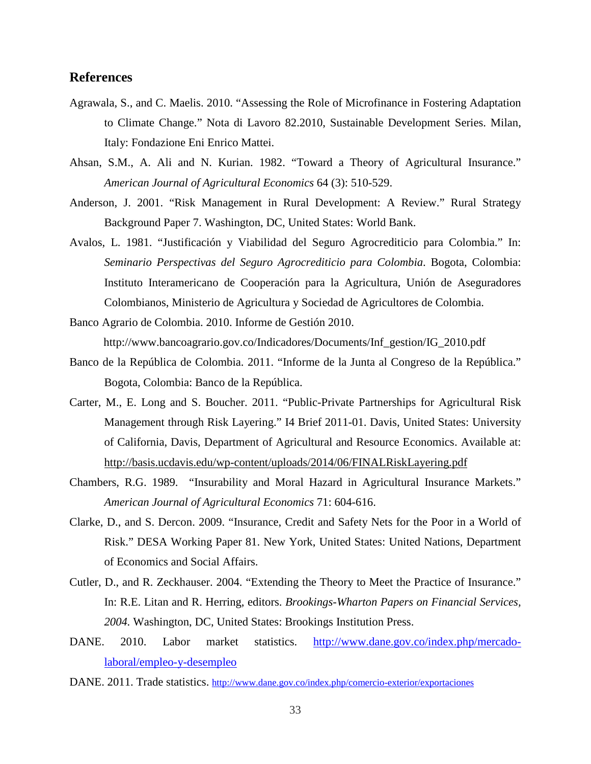# **References**

- Agrawala, S., and C. Maelis. 2010. "Assessing the Role of Microfinance in Fostering Adaptation to Climate Change." Nota di Lavoro 82.2010, Sustainable Development Series. Milan, Italy: Fondazione Eni Enrico Mattei.
- Ahsan, S.M., A. Ali and N. Kurian. 1982. "Toward a Theory of Agricultural Insurance." *American Journal of Agricultural Economics* 64 (3): 510-529.
- Anderson, J. 2001. "Risk Management in Rural Development: A Review." Rural Strategy Background Paper 7. Washington, DC, United States: World Bank.
- Avalos, L. 1981. "Justificación y Viabilidad del Seguro Agrocrediticio para Colombia." In: *Seminario Perspectivas del Seguro Agrocrediticio para Colombia*. Bogota, Colombia: Instituto Interamericano de Cooperación para la Agricultura, Unión de Aseguradores Colombianos, Ministerio de Agricultura y Sociedad de Agricultores de Colombia.
- Banco Agrario de Colombia. 2010. Informe de Gestión 2010. http://www.bancoagrario.gov.co/Indicadores/Documents/Inf\_gestion/IG\_2010.pdf
- Banco de la República de Colombia. 2011. "Informe de la Junta al Congreso de la República." Bogota, Colombia: Banco de la República.
- Carter, M., E. Long and S. Boucher. 2011. "Public-Private Partnerships for Agricultural Risk Management through Risk Layering." I4 Brief 2011-01. Davis, United States: University of California, Davis, Department of Agricultural and Resource Economics. Available at: <http://basis.ucdavis.edu/wp-content/uploads/2014/06/FINALRiskLayering.pdf>
- Chambers, R.G. 1989. "Insurability and Moral Hazard in Agricultural Insurance Markets." *American Journal of Agricultural Economics* 71: 604-616.
- Clarke, D., and S. Dercon. 2009. "Insurance, Credit and Safety Nets for the Poor in a World of Risk." DESA Working Paper 81. New York, United States: United Nations, Department of Economics and Social Affairs.
- Cutler, D., and R. Zeckhauser. 2004. "Extending the Theory to Meet the Practice of Insurance." In: R.E. Litan and R. Herring, editors. *Brookings-Wharton Papers on Financial Services, 2004.* Washington, DC, United States: Brookings Institution Press.
- DANE. 2010. Labor market statistics. [http://www.dane.gov.co/index.php/mercado](http://www.dane.gov.co/index.php/mercado-laboral/empleo-y-desempleo)[laboral/empleo-y-desempleo](http://www.dane.gov.co/index.php/mercado-laboral/empleo-y-desempleo)
- DANE. 2011. Trade statistics.<http://www.dane.gov.co/index.php/comercio-exterior/exportaciones>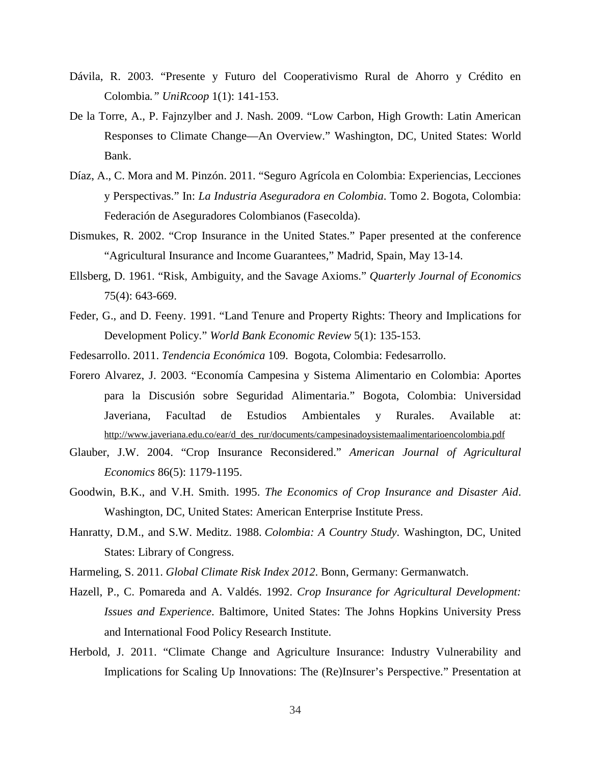- Dávila, R. 2003. "Presente y Futuro del Cooperativismo Rural de Ahorro y Crédito en Colombia*." UniRcoop* 1(1): 141-153.
- De la Torre, A., P. Fajnzylber and J. Nash. 2009. "Low Carbon, High Growth: Latin American Responses to Climate Change—An Overview." Washington, DC, United States: World Bank.
- Díaz, A., C. Mora and M. Pinzón. 2011. "Seguro Agrícola en Colombia: Experiencias, Lecciones y Perspectivas." In: *La Industria Aseguradora en Colombia*. Tomo 2. Bogota, Colombia: Federación de Aseguradores Colombianos (Fasecolda).
- Dismukes, R. 2002. "Crop Insurance in the United States." Paper presented at the conference "Agricultural Insurance and Income Guarantees," Madrid, Spain, May 13-14.
- Ellsberg, D. 1961. "Risk, Ambiguity, and the Savage Axioms." *Quarterly Journal of Economics* 75(4): 643-669.
- Feder, G., and D. Feeny. 1991. "Land Tenure and Property Rights: Theory and Implications for Development Policy." *World Bank Economic Review* 5(1): 135-153.
- Fedesarrollo. 2011. *Tendencia Económica* 109. Bogota, Colombia: Fedesarrollo.
- Forero Alvarez, J. 2003. "Economía Campesina y Sistema Alimentario en Colombia: Aportes para la Discusión sobre Seguridad Alimentaria." Bogota, Colombia: Universidad Javeriana, Facultad de Estudios Ambientales y Rurales. Available at: [http://www.javeriana.edu.co/ear/d\\_des\\_rur/documents/campesinadoysistemaalimentarioencolombia.pdf](http://www.javeriana.edu.co/ear/d_des_rur/documents/campesinadoysistemaalimentarioencolombia.pdf)
- Glauber, J.W. 2004. "Crop Insurance Reconsidered." *American Journal of Agricultural Economics* 86(5): 1179-1195.
- Goodwin, B.K., and V.H. Smith. 1995. *The Economics of Crop Insurance and Disaster Aid*. Washington, DC, United States: American Enterprise Institute Press.
- Hanratty, D.M., and S.W. Meditz. 1988. *Colombia: A Country Study*. Washington, DC, United States: Library of Congress.
- Harmeling, S. 2011. *Global Climate Risk Index 2012*. Bonn, Germany: Germanwatch.
- Hazell, P., C. Pomareda and A. Valdés. 1992. *Crop Insurance for Agricultural Development: Issues and Experience*. Baltimore, United States: The Johns Hopkins University Press and International Food Policy Research Institute.
- Herbold, J. 2011. "Climate Change and Agriculture Insurance: Industry Vulnerability and Implications for Scaling Up Innovations: The (Re)Insurer's Perspective." Presentation at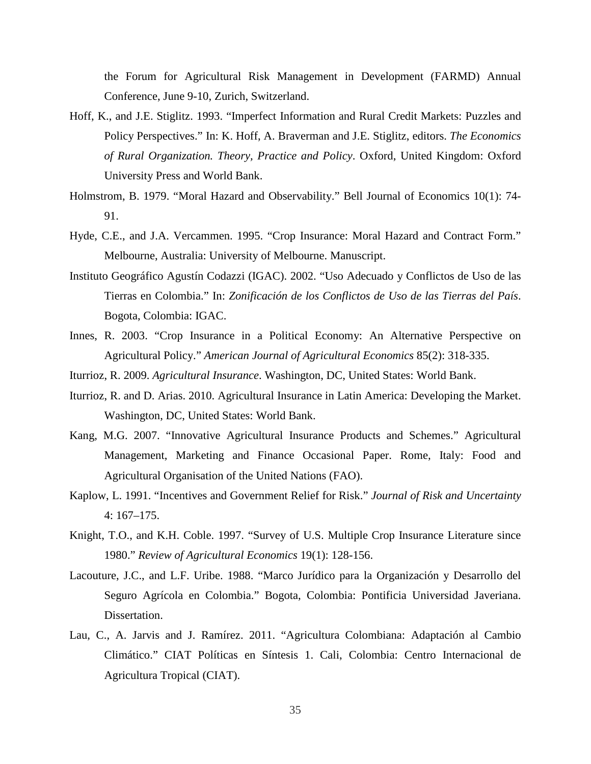the Forum for Agricultural Risk Management in Development (FARMD) Annual Conference, June 9-10, Zurich, Switzerland.

- Hoff, K., and J.E. Stiglitz. 1993. "Imperfect Information and Rural Credit Markets: Puzzles and Policy Perspectives." In: K. Hoff, A. Braverman and J.E. Stiglitz, editors. *The Economics of Rural Organization. Theory, Practice and Policy*. Oxford, United Kingdom: Oxford University Press and World Bank.
- Holmstrom, B. 1979. "Moral Hazard and Observability." Bell Journal of Economics 10(1): 74- 91.
- Hyde, C.E., and J.A. Vercammen. 1995. "Crop Insurance: Moral Hazard and Contract Form." Melbourne, Australia: University of Melbourne. Manuscript.
- Instituto Geográfico Agustín Codazzi (IGAC). 2002. "Uso Adecuado y Conflictos de Uso de las Tierras en Colombia." In: *Zonificación de los Conflictos de Uso de las Tierras del País*. Bogota, Colombia: IGAC.
- Innes, R. 2003. "Crop Insurance in a Political Economy: An Alternative Perspective on Agricultural Policy." *American Journal of Agricultural Economics* 85(2): 318-335.
- Iturrioz, R. 2009. *Agricultural Insurance*. Washington, DC, United States: World Bank.
- Iturrioz, R. and D. Arias. 2010. Agricultural Insurance in Latin America: Developing the Market. Washington, DC, United States: World Bank.
- Kang, M.G. 2007. "Innovative Agricultural Insurance Products and Schemes." Agricultural Management, Marketing and Finance Occasional Paper. Rome, Italy: Food and Agricultural Organisation of the United Nations (FAO).
- Kaplow, L. 1991. "Incentives and Government Relief for Risk." *Journal of Risk and Uncertainty* 4: 167–175.
- Knight, T.O., and K.H. Coble. 1997. "Survey of U.S. Multiple Crop Insurance Literature since 1980." *Review of Agricultural Economics* 19(1): 128-156.
- Lacouture, J.C., and L.F. Uribe. 1988. "Marco Jurídico para la Organización y Desarrollo del Seguro Agrícola en Colombia." Bogota, Colombia: Pontificia Universidad Javeriana. Dissertation.
- Lau, C., A. Jarvis and J. Ramírez. 2011. "Agricultura Colombiana: Adaptación al Cambio Climático." CIAT Políticas en Síntesis 1. Cali, Colombia: Centro Internacional de Agricultura Tropical (CIAT).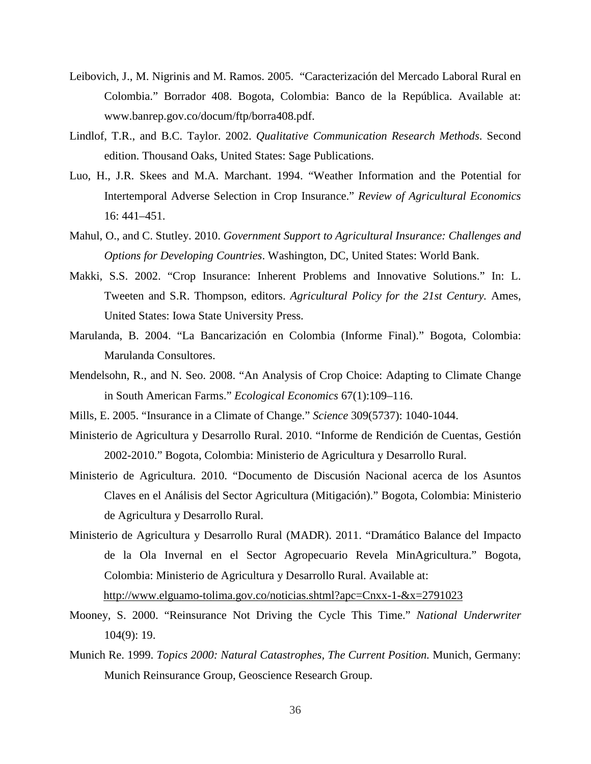- Leibovich, J., M. Nigrinis and M. Ramos. 2005. "Caracterización del Mercado Laboral Rural en Colombia." Borrador 408. Bogota, Colombia: Banco de la República. Available at: www.banrep.gov.co/docum/ftp/borra408.pdf.
- Lindlof, T.R., and B.C. Taylor. 2002. *Qualitative Communication Research Methods*. Second edition. Thousand Oaks, United States: Sage Publications.
- Luo, H., J.R. Skees and M.A. Marchant. 1994. "Weather Information and the Potential for Intertemporal Adverse Selection in Crop Insurance." *Review of Agricultural Economics* 16: 441–451.
- Mahul, O., and C. Stutley. 2010. *Government Support to Agricultural Insurance: Challenges and Options for Developing Countries*. Washington, DC, United States: World Bank.
- Makki, S.S. 2002. "Crop Insurance: Inherent Problems and Innovative Solutions." In: L. Tweeten and S.R. Thompson, editors. *Agricultural Policy for the 21st Century.* Ames, United States: Iowa State University Press.
- Marulanda, B. 2004. "La Bancarización en Colombia (Informe Final)." Bogota, Colombia: Marulanda Consultores.
- Mendelsohn, R., and N. Seo. 2008. "An Analysis of Crop Choice: Adapting to Climate Change in South American Farms." *Ecological Economics* 67(1):109–116.
- Mills, E. 2005. "Insurance in a Climate of Change." *Science* 309(5737): 1040-1044.
- Ministerio de Agricultura y Desarrollo Rural. 2010. "Informe de Rendición de Cuentas, Gestión 2002-2010." Bogota, Colombia: Ministerio de Agricultura y Desarrollo Rural.
- Ministerio de Agricultura. 2010. "Documento de Discusión Nacional acerca de los Asuntos Claves en el Análisis del Sector Agricultura (Mitigación)." Bogota, Colombia: Ministerio de Agricultura y Desarrollo Rural.
- Ministerio de Agricultura y Desarrollo Rural (MADR). 2011. "Dramático Balance del Impacto de la Ola Invernal en el Sector Agropecuario Revela MinAgricultura." Bogota, Colombia: Ministerio de Agricultura y Desarrollo Rural. Available at: <http://www.elguamo-tolima.gov.co/noticias.shtml?apc=Cnxx-1-&x=2791023>
- Mooney, S. 2000. "Reinsurance Not Driving the Cycle This Time." *National Underwriter* 104(9): 19.
- Munich Re. 1999. *Topics 2000: Natural Catastrophes, The Current Position.* Munich, Germany: Munich Reinsurance Group, Geoscience Research Group.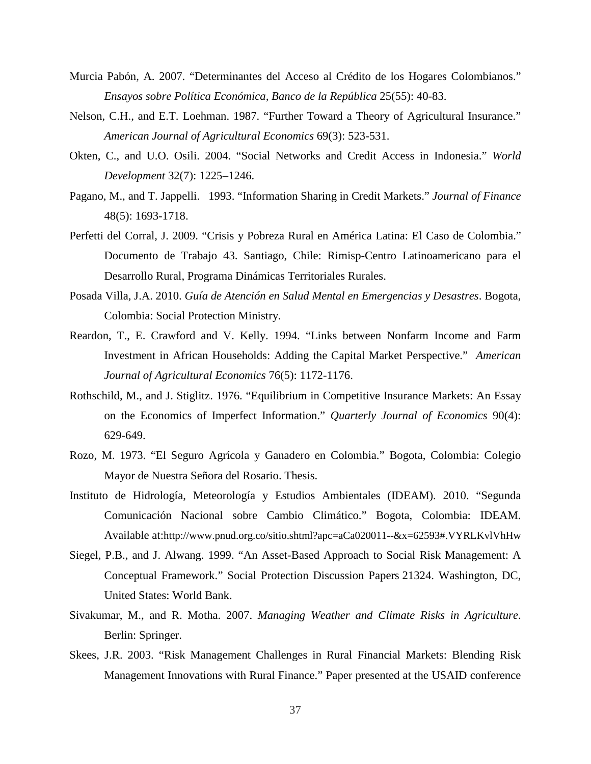- Murcia Pabón, A. 2007. "Determinantes del Acceso al Crédito de los Hogares Colombianos." *Ensayos sobre Política Económica, Banco de la República* 25(55): 40-83.
- Nelson, C.H., and E.T. Loehman. 1987. "Further Toward a Theory of Agricultural Insurance." *American Journal of Agricultural Economics* 69(3): 523-531.
- Okten, C., and U.O. Osili. 2004. "Social Networks and Credit Access in Indonesia." *World Development* 32(7): 1225–1246.
- Pagano, M., and T. Jappelli. 1993. "Information Sharing in Credit Markets." *Journal of Finance* 48(5): 1693-1718.
- Perfetti del Corral, J. 2009. "Crisis y Pobreza Rural en América Latina: El Caso de Colombia." Documento de Trabajo 43. Santiago, Chile: Rimisp-Centro Latinoamericano para el Desarrollo Rural, Programa Dinámicas Territoriales Rurales.
- Posada Villa, J.A. 2010. *Guía de Atención en Salud Mental en Emergencias y Desastres*. Bogota, Colombia: Social Protection Ministry.
- Reardon, T., E. Crawford and V. Kelly. 1994. "Links between Nonfarm Income and Farm Investment in African Households: Adding the Capital Market Perspective." *American Journal of Agricultural Economics* 76(5): 1172-1176.
- Rothschild, M., and J. Stiglitz. 1976. "Equilibrium in Competitive Insurance Markets: An Essay on the Economics of Imperfect Information." *Quarterly Journal of Economics* 90(4): 629-649.
- Rozo, M. 1973. "El Seguro Agrícola y Ganadero en Colombia." Bogota, Colombia: Colegio Mayor de Nuestra Señora del Rosario. Thesis.
- Instituto de Hidrología, Meteorología y Estudios Ambientales (IDEAM). 2010. "Segunda Comunicación Nacional sobre Cambio Climático." Bogota, Colombia: IDEAM. Available at:http://www.pnud.org.co/sitio.shtml?apc=aCa020011--&x=62593#.VYRLKvlVhHw
- Siegel, P.B., and J. Alwang. 1999. ["An Asset-Based Approach to Social Risk Management: A](http://ideas.repec.org/p/wbk/hdnspu/21324.html)  [Conceptual Framework.](http://ideas.repec.org/p/wbk/hdnspu/21324.html)" [Social Protection Discussion Papers](http://ideas.repec.org/s/wbk/hdnspu.html) 21324. Washington, DC, United States: World Bank.
- Sivakumar, M., and R. Motha. 2007. *Managing Weather and Climate Risks in Agriculture*. Berlin: Springer.
- Skees, J.R. 2003. "Risk Management Challenges in Rural Financial Markets: Blending Risk Management Innovations with Rural Finance." Paper presented at the USAID conference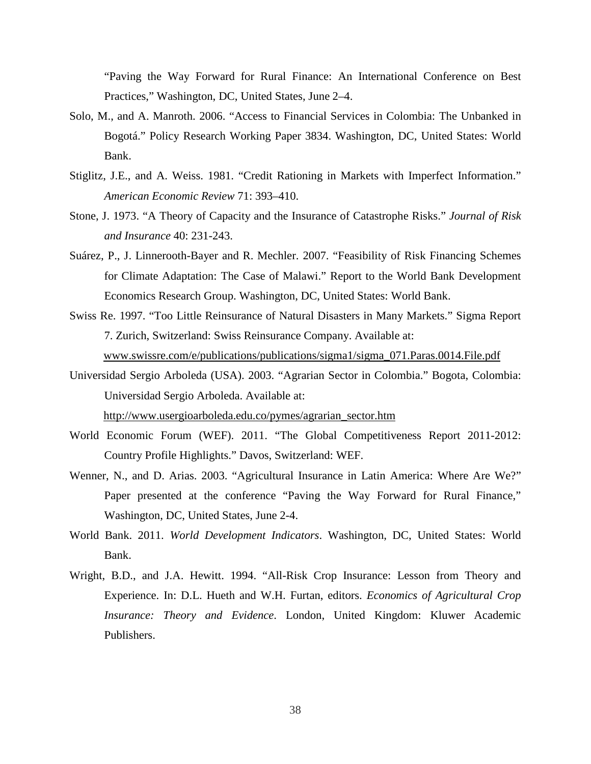"Paving the Way Forward for Rural Finance: An International Conference on Best Practices," Washington, DC, United States, June 2–4.

- Solo, M., and A. Manroth. 2006. "Access to Financial Services in Colombia: The Unbanked in Bogotá." Policy Research Working Paper 3834. Washington, DC, United States: World Bank.
- Stiglitz, J.E., and A. Weiss. 1981. "Credit Rationing in Markets with Imperfect Information." *American Economic Review* 71: 393–410.
- Stone, J. 1973. "A Theory of Capacity and the Insurance of Catastrophe Risks." *Journal of Risk and Insurance* 40: 231-243.
- Suárez, P., J. Linnerooth-Bayer and R. Mechler. 2007. "Feasibility of Risk Financing Schemes for Climate Adaptation: The Case of Malawi." Report to the World Bank Development Economics Research Group. Washington, DC, United States: World Bank.
- Swiss Re. 1997. "Too Little Reinsurance of Natural Disasters in Many Markets." Sigma Report 7. Zurich, Switzerland: Swiss Reinsurance Company. Available at: [www.swissre.com/e/publications/publications/sigma1/sigma\\_071.Paras.0014.File.pdf](http://www.swissre.com/e/publications/publications/sigma1/sigma_071.Paras.0014.File.pdf)
- Universidad Sergio Arboleda (USA). 2003. "Agrarian Sector in Colombia." Bogota, Colombia: Universidad Sergio Arboleda. Available at:

[http://www.usergioarboleda.edu.co/pymes/agrarian\\_sector.htm](http://www.usergioarboleda.edu.co/pymes/agrarian_sector.htm)

- World Economic Forum (WEF). 2011. "The Global Competitiveness Report 2011-2012: Country Profile Highlights." Davos, Switzerland: WEF.
- Wenner, N., and D. Arias. 2003. "Agricultural Insurance in Latin America: Where Are We?" Paper presented at the conference "Paving the Way Forward for Rural Finance," Washington, DC, United States, June 2-4.
- World Bank. 2011. *World Development Indicators*. Washington, DC, United States: World Bank.
- Wright, B.D., and J.A. Hewitt. 1994. "All-Risk Crop Insurance: Lesson from Theory and Experience. In: D.L. Hueth and W.H. Furtan, editors. *Economics of Agricultural Crop Insurance: Theory and Evidence*. London, United Kingdom: Kluwer Academic Publishers.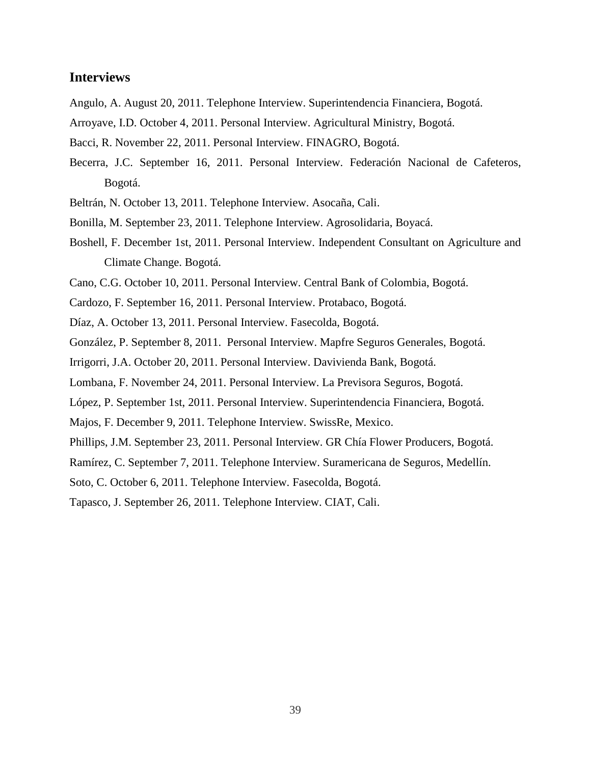# **Interviews**

- Angulo, A. August 20, 2011. Telephone Interview. Superintendencia Financiera, Bogotá.
- Arroyave, I.D. October 4, 2011. Personal Interview. Agricultural Ministry, Bogotá.
- Bacci, R. November 22, 2011. Personal Interview. FINAGRO, Bogotá.
- Becerra, J.C. September 16, 2011. Personal Interview. Federación Nacional de Cafeteros, Bogotá.
- Beltrán, N. October 13, 2011. Telephone Interview. Asocaña, Cali.
- Bonilla, M. September 23, 2011. Telephone Interview. Agrosolidaria, Boyacá.
- Boshell, F. December 1st, 2011. Personal Interview. Independent Consultant on Agriculture and Climate Change. Bogotá.
- Cano, C.G. October 10, 2011. Personal Interview. Central Bank of Colombia, Bogotá.
- Cardozo, F. September 16, 2011. Personal Interview. Protabaco, Bogotá.
- Díaz, A. October 13, 2011. Personal Interview. Fasecolda, Bogotá.
- González, P. September 8, 2011. Personal Interview. Mapfre Seguros Generales, Bogotá.
- Irrigorri, J.A. October 20, 2011. Personal Interview. Davivienda Bank, Bogotá.
- Lombana, F. November 24, 2011. Personal Interview. La Previsora Seguros, Bogotá.
- López, P. September 1st, 2011. Personal Interview. Superintendencia Financiera, Bogotá.
- Majos, F. December 9, 2011. Telephone Interview. SwissRe, Mexico.
- Phillips, J.M. September 23, 2011. Personal Interview. GR Chía Flower Producers, Bogotá.
- Ramírez, C. September 7, 2011. Telephone Interview. Suramericana de Seguros, Medellín.
- Soto, C. October 6, 2011. Telephone Interview. Fasecolda, Bogotá.
- Tapasco, J. September 26, 2011. Telephone Interview. CIAT, Cali.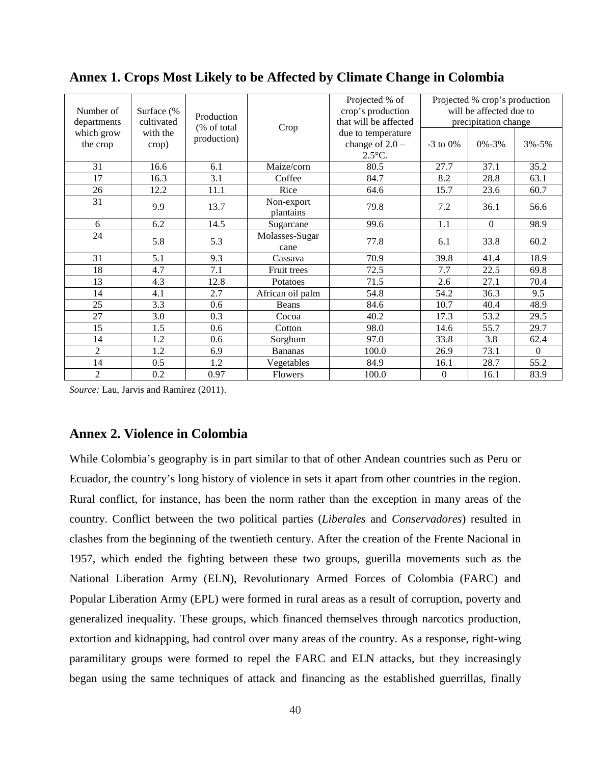| Number of      | Surface (% |                             |                         | Projected % of<br>crop's production |            | Projected % crop's production<br>will be affected due to |           |
|----------------|------------|-----------------------------|-------------------------|-------------------------------------|------------|----------------------------------------------------------|-----------|
| departments    | cultivated | Production                  |                         | that will be affected               |            | precipitation change                                     |           |
| which grow     | with the   | (% of total)<br>production) | Crop                    | due to temperature                  |            |                                                          |           |
| the crop       | crop)      |                             |                         | change of $2.0 -$                   | $-3$ to 0% | $0\% - 3\%$                                              | $3% - 5%$ |
|                |            |                             |                         | $2.5^{\circ}$ C.                    |            |                                                          |           |
| 31             | 16.6       | 6.1                         | Maize/corn              | 80.5                                | 27.7       | 37.1                                                     | 35.2      |
| 17             | 16.3       | 3.1                         | Coffee                  | 84.7                                | 8.2        | 28.8                                                     | 63.1      |
| 26             | 12.2       | 11.1                        | Rice                    | 64.6                                | 15.7       | 23.6                                                     | 60.7      |
| 31             | 9.9        | 13.7                        | Non-export<br>plantains | 79.8                                | 7.2        | 36.1                                                     | 56.6      |
| 6              | 6.2        | 14.5                        | Sugarcane               | 99.6                                | 1.1        | $\overline{0}$                                           | 98.9      |
| 24             | 5.8        | 5.3                         | Molasses-Sugar<br>cane  | 77.8                                | 6.1        | 33.8                                                     | 60.2      |
| 31             | 5.1        | 9.3                         | Cassava                 | 70.9                                | 39.8       | 41.4                                                     | 18.9      |
| 18             | 4.7        | 7.1                         | Fruit trees             | 72.5                                | 7.7        | 22.5                                                     | 69.8      |
| 13             | 4.3        | 12.8                        | Potatoes                | 71.5                                | 2.6        | 27.1                                                     | 70.4      |
| 14             | 4.1        | 2.7                         | African oil palm        | 54.8                                | 54.2       | 36.3                                                     | 9.5       |
| 25             | 3.3        | 0.6                         | Beans                   | 84.6                                | 10.7       | 40.4                                                     | 48.9      |
| 27             | 3.0        | 0.3                         | Cocoa                   | 40.2                                | 17.3       | 53.2                                                     | 29.5      |
| 15             | 1.5        | 0.6                         | Cotton                  | 98.0                                | 14.6       | 55.7                                                     | 29.7      |
| 14             | 1.2        | 0.6                         | Sorghum                 | 97.0                                | 33.8       | 3.8                                                      | 62.4      |
| $\overline{c}$ | 1.2        | 6.9                         | <b>Bananas</b>          | 100.0                               | 26.9       | 73.1                                                     | $\Omega$  |
| 14             | 0.5        | 1.2                         | Vegetables              | 84.9                                | 16.1       | 28.7                                                     | 55.2      |
| $\overline{2}$ | 0.2        | 0.97                        | Flowers                 | 100.0                               | $\Omega$   | 16.1                                                     | 83.9      |

# **Annex 1. Crops Most Likely to be Affected by Climate Change in Colombia**

*Source:* Lau, Jarvis and Ramírez (2011).

# **Annex 2. Violence in Colombia**

While Colombia's geography is in part similar to that of other Andean countries such as Peru or Ecuador, the country's long history of violence in sets it apart from other countries in the region. Rural conflict, for instance, has been the norm rather than the exception in many areas of the country. Conflict between the two political parties (*Liberales* and *Conservadores*) resulted in clashes from the beginning of the twentieth century. After the creation of the Frente Nacional in 1957, which ended the fighting between these two groups, guerilla movements such as the National Liberation Army (ELN), Revolutionary Armed Forces of Colombia (FARC) and Popular Liberation Army (EPL) were formed in rural areas as a result of corruption, poverty and generalized inequality. These groups, which financed themselves through narcotics production, extortion and kidnapping, had control over many areas of the country. As a response, right-wing paramilitary groups were formed to repel the FARC and ELN attacks, but they increasingly began using the same techniques of attack and financing as the established guerrillas, finally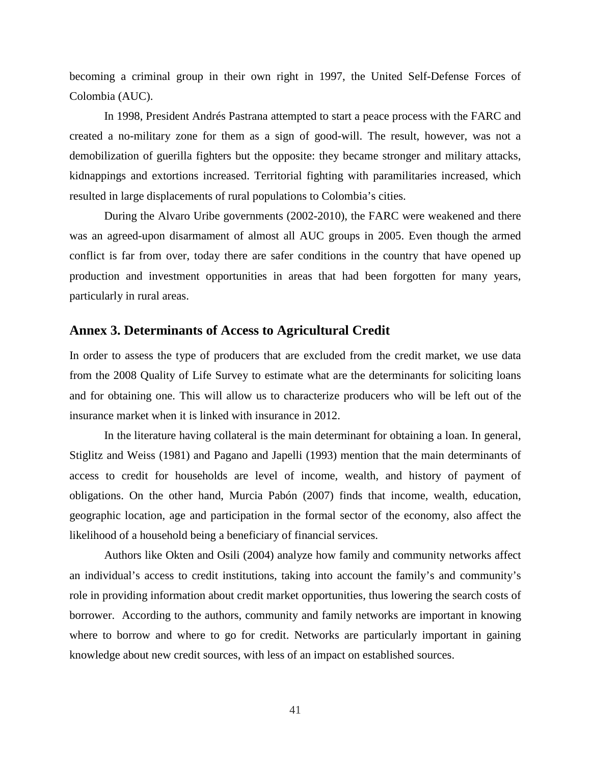becoming a criminal group in their own right in 1997, the United Self-Defense Forces of Colombia (AUC).

In 1998, President Andrés Pastrana attempted to start a peace process with the FARC and created a no-military zone for them as a sign of good-will. The result, however, was not a demobilization of guerilla fighters but the opposite: they became stronger and military attacks, kidnappings and extortions increased. Territorial fighting with paramilitaries increased, which resulted in large displacements of rural populations to Colombia's cities.

During the Alvaro Uribe governments (2002-2010), the FARC were weakened and there was an agreed-upon disarmament of almost all AUC groups in 2005. Even though the armed conflict is far from over, today there are safer conditions in the country that have opened up production and investment opportunities in areas that had been forgotten for many years, particularly in rural areas.

# **Annex 3. Determinants of Access to Agricultural Credit**

In order to assess the type of producers that are excluded from the credit market, we use data from the 2008 Quality of Life Survey to estimate what are the determinants for soliciting loans and for obtaining one. This will allow us to characterize producers who will be left out of the insurance market when it is linked with insurance in 2012.

In the literature having collateral is the main determinant for obtaining a loan. In general, Stiglitz and Weiss (1981) and Pagano and Japelli (1993) mention that the main determinants of access to credit for households are level of income, wealth, and history of payment of obligations. On the other hand, Murcia Pabón (2007) finds that income, wealth, education, geographic location, age and participation in the formal sector of the economy, also affect the likelihood of a household being a beneficiary of financial services.

Authors like Okten and Osili (2004) analyze how family and community networks affect an individual's access to credit institutions, taking into account the family's and community's role in providing information about credit market opportunities, thus lowering the search costs of borrower. According to the authors, community and family networks are important in knowing where to borrow and where to go for credit. Networks are particularly important in gaining knowledge about new credit sources, with less of an impact on established sources.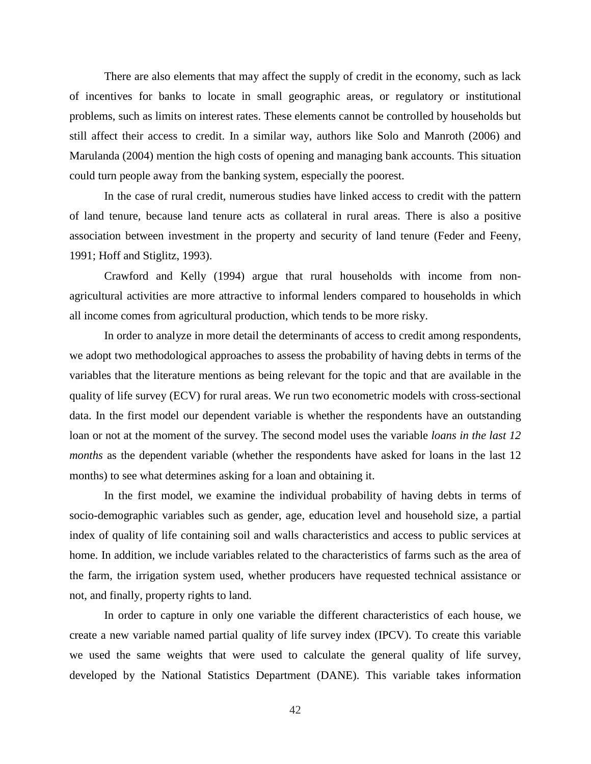There are also elements that may affect the supply of credit in the economy, such as lack of incentives for banks to locate in small geographic areas, or regulatory or institutional problems, such as limits on interest rates. These elements cannot be controlled by households but still affect their access to credit. In a similar way, authors like Solo and Manroth (2006) and Marulanda (2004) mention the high costs of opening and managing bank accounts. This situation could turn people away from the banking system, especially the poorest.

In the case of rural credit, numerous studies have linked access to credit with the pattern of land tenure, because land tenure acts as collateral in rural areas. There is also a positive association between investment in the property and security of land tenure (Feder and Feeny, 1991; Hoff and Stiglitz, 1993).

Crawford and Kelly (1994) argue that rural households with income from nonagricultural activities are more attractive to informal lenders compared to households in which all income comes from agricultural production, which tends to be more risky.

In order to analyze in more detail the determinants of access to credit among respondents, we adopt two methodological approaches to assess the probability of having debts in terms of the variables that the literature mentions as being relevant for the topic and that are available in the quality of life survey (ECV) for rural areas. We run two econometric models with cross-sectional data. In the first model our dependent variable is whether the respondents have an outstanding loan or not at the moment of the survey. The second model uses the variable *loans in the last 12 months* as the dependent variable (whether the respondents have asked for loans in the last 12 months) to see what determines asking for a loan and obtaining it.

In the first model, we examine the individual probability of having debts in terms of socio-demographic variables such as gender, age, education level and household size, a partial index of quality of life containing soil and walls characteristics and access to public services at home. In addition, we include variables related to the characteristics of farms such as the area of the farm, the irrigation system used, whether producers have requested technical assistance or not, and finally, property rights to land.

In order to capture in only one variable the different characteristics of each house, we create a new variable named partial quality of life survey index (IPCV). To create this variable we used the same weights that were used to calculate the general quality of life survey, developed by the National Statistics Department (DANE). This variable takes information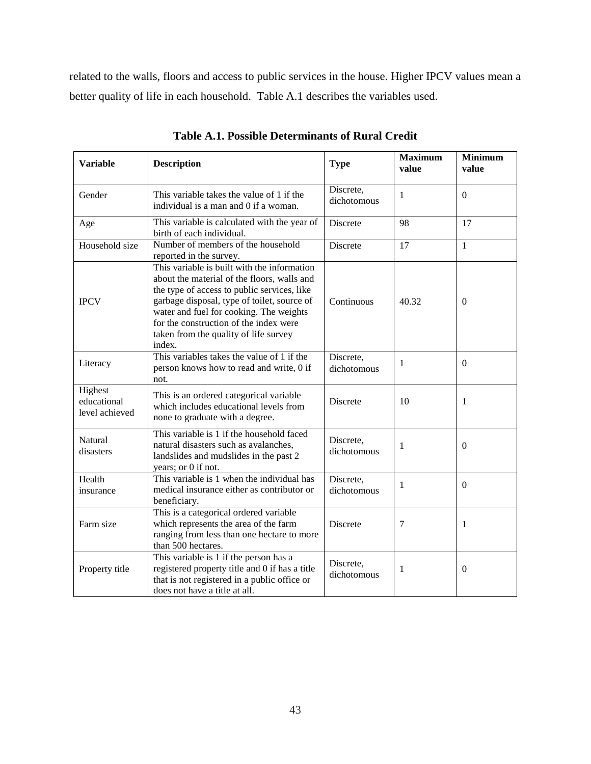related to the walls, floors and access to public services in the house. Higher IPCV values mean a better quality of life in each household. Table A.1 describes the variables used.

| <b>Variable</b>                          | <b>Description</b>                                                                                                                                                                                                                                                                                                               | <b>Type</b>              | <b>Maximum</b><br>value | <b>Minimum</b><br>value |
|------------------------------------------|----------------------------------------------------------------------------------------------------------------------------------------------------------------------------------------------------------------------------------------------------------------------------------------------------------------------------------|--------------------------|-------------------------|-------------------------|
| Gender                                   | This variable takes the value of 1 if the<br>individual is a man and 0 if a woman.                                                                                                                                                                                                                                               | Discrete,<br>dichotomous | 1                       | $\mathbf{0}$            |
| Age                                      | This variable is calculated with the year of<br>birth of each individual.                                                                                                                                                                                                                                                        | Discrete                 | 98                      | 17                      |
| Household size                           | Number of members of the household<br>reported in the survey.                                                                                                                                                                                                                                                                    | Discrete                 | 17                      | $\mathbf{1}$            |
| <b>IPCV</b>                              | This variable is built with the information<br>about the material of the floors, walls and<br>the type of access to public services, like<br>garbage disposal, type of toilet, source of<br>water and fuel for cooking. The weights<br>for the construction of the index were<br>taken from the quality of life survey<br>index. | Continuous               | 40.32                   | $\Omega$                |
| Literacy                                 | This variables takes the value of 1 if the<br>person knows how to read and write, 0 if<br>not.                                                                                                                                                                                                                                   | Discrete,<br>dichotomous | 1                       | $\Omega$                |
| Highest<br>educational<br>level achieved | This is an ordered categorical variable<br>which includes educational levels from<br>none to graduate with a degree.                                                                                                                                                                                                             | Discrete                 | 10                      | $\mathbf{1}$            |
| Natural<br>disasters                     | This variable is 1 if the household faced<br>natural disasters such as avalanches,<br>landslides and mudslides in the past 2<br>years; or 0 if not.                                                                                                                                                                              | Discrete,<br>dichotomous | 1                       | $\Omega$                |
| Health<br>insurance                      | This variable is 1 when the individual has<br>medical insurance either as contributor or<br>beneficiary.                                                                                                                                                                                                                         | Discrete,<br>dichotomous | 1                       | $\mathbf{0}$            |
| Farm size                                | This is a categorical ordered variable<br>which represents the area of the farm<br>ranging from less than one hectare to more<br>than 500 hectares.                                                                                                                                                                              | Discrete                 | 7                       | 1                       |
| Property title                           | This variable is 1 if the person has a<br>registered property title and 0 if has a title<br>that is not registered in a public office or<br>does not have a title at all.                                                                                                                                                        | Discrete,<br>dichotomous | 1                       | $\Omega$                |

**Table A.1. Possible Determinants of Rural Credit**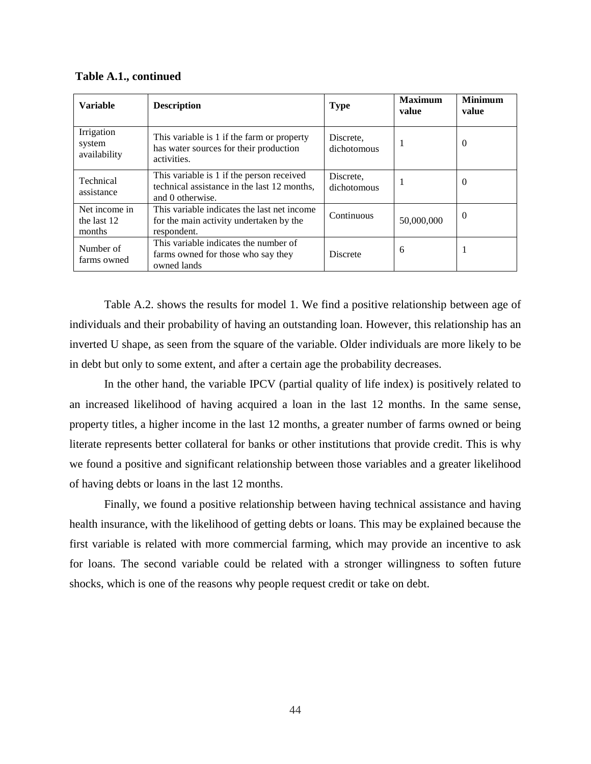| Table A.1., continued |  |
|-----------------------|--|
|-----------------------|--|

| <b>Variable</b>                        | <b>Description</b>                                                                                           | <b>Type</b>              | <b>Maximum</b><br>value | <b>Minimum</b><br>value |
|----------------------------------------|--------------------------------------------------------------------------------------------------------------|--------------------------|-------------------------|-------------------------|
| Irrigation<br>system<br>availability   | This variable is 1 if the farm or property<br>has water sources for their production<br>activities.          | Discrete,<br>dichotomous | ı                       | $\theta$                |
| Technical<br>assistance                | This variable is 1 if the person received<br>technical assistance in the last 12 months,<br>and 0 otherwise. | Discrete,<br>dichotomous |                         | $\Omega$                |
| Net income in<br>the last 12<br>months | This variable indicates the last net income<br>for the main activity undertaken by the<br>respondent.        | Continuous               | 50,000,000              | $\boldsymbol{0}$        |
| Number of<br>farms owned               | This variable indicates the number of<br>farms owned for those who say they<br>owned lands                   | <b>Discrete</b>          | 6                       | 1                       |

Table A.2. shows the results for model 1. We find a positive relationship between age of individuals and their probability of having an outstanding loan. However, this relationship has an inverted U shape, as seen from the square of the variable. Older individuals are more likely to be in debt but only to some extent, and after a certain age the probability decreases.

In the other hand, the variable IPCV (partial quality of life index) is positively related to an increased likelihood of having acquired a loan in the last 12 months. In the same sense, property titles, a higher income in the last 12 months, a greater number of farms owned or being literate represents better collateral for banks or other institutions that provide credit. This is why we found a positive and significant relationship between those variables and a greater likelihood of having debts or loans in the last 12 months.

Finally, we found a positive relationship between having technical assistance and having health insurance, with the likelihood of getting debts or loans. This may be explained because the first variable is related with more commercial farming, which may provide an incentive to ask for loans. The second variable could be related with a stronger willingness to soften future shocks, which is one of the reasons why people request credit or take on debt.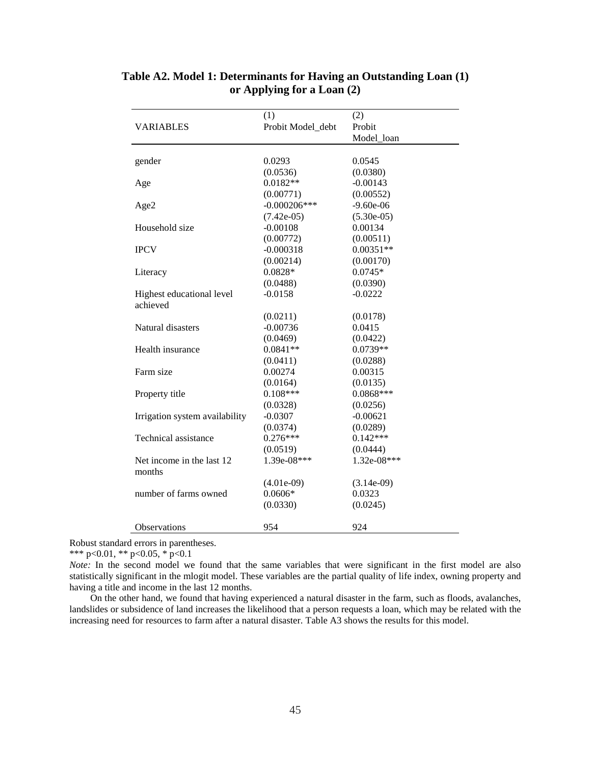|                                       | (1)               | (2)          |
|---------------------------------------|-------------------|--------------|
| <b>VARIABLES</b>                      | Probit Model_debt | Probit       |
|                                       |                   | Model loan   |
|                                       |                   |              |
| gender                                | 0.0293            | 0.0545       |
|                                       | (0.0536)          | (0.0380)     |
| Age                                   | $0.0182**$        | $-0.00143$   |
|                                       | (0.00771)         | (0.00552)    |
| Age2                                  | $-0.000206***$    | $-9.60e-06$  |
|                                       | $(7.42e-05)$      | $(5.30e-05)$ |
| Household size                        | $-0.00108$        | 0.00134      |
|                                       | (0.00772)         | (0.00511)    |
| <b>IPCV</b>                           | $-0.000318$       | $0.00351**$  |
|                                       | (0.00214)         | (0.00170)    |
| Literacy                              | 0.0828*           | $0.0745*$    |
|                                       | (0.0488)          | (0.0390)     |
| Highest educational level<br>achieved | $-0.0158$         | $-0.0222$    |
|                                       | (0.0211)          | (0.0178)     |
| Natural disasters                     | $-0.00736$        | 0.0415       |
|                                       | (0.0469)          | (0.0422)     |
| Health insurance                      | $0.0841**$        | $0.0739**$   |
|                                       | (0.0411)          | (0.0288)     |
| Farm size                             | 0.00274           | 0.00315      |
|                                       | (0.0164)          | (0.0135)     |
| Property title                        | $0.108***$        | $0.0868***$  |
|                                       | (0.0328)          | (0.0256)     |
| Irrigation system availability        | $-0.0307$         | $-0.00621$   |
|                                       | (0.0374)          | (0.0289)     |
| Technical assistance                  | $0.276***$        | $0.142***$   |
|                                       | (0.0519)          | (0.0444)     |
| Net income in the last 12<br>months   | 1.39e-08***       | 1.32e-08***  |
|                                       | $(4.01e-09)$      | $(3.14e-09)$ |
| number of farms owned                 | $0.0606*$         | 0.0323       |
|                                       | (0.0330)          | (0.0245)     |
| Observations                          | 954               | 924          |

# **Table A2. Model 1: Determinants for Having an Outstanding Loan (1) or Applying for a Loan (2)**

Robust standard errors in parentheses.

\*\*\* p<0.01, \*\* p<0.05, \* p<0.1

*Note:* In the second model we found that the same variables that were significant in the first model are also statistically significant in the mlogit model. These variables are the partial quality of life index, owning property and having a title and income in the last 12 months.

On the other hand, we found that having experienced a natural disaster in the farm, such as floods, avalanches, landslides or subsidence of land increases the likelihood that a person requests a loan, which may be related with the increasing need for resources to farm after a natural disaster. Table A3 shows the results for this model.